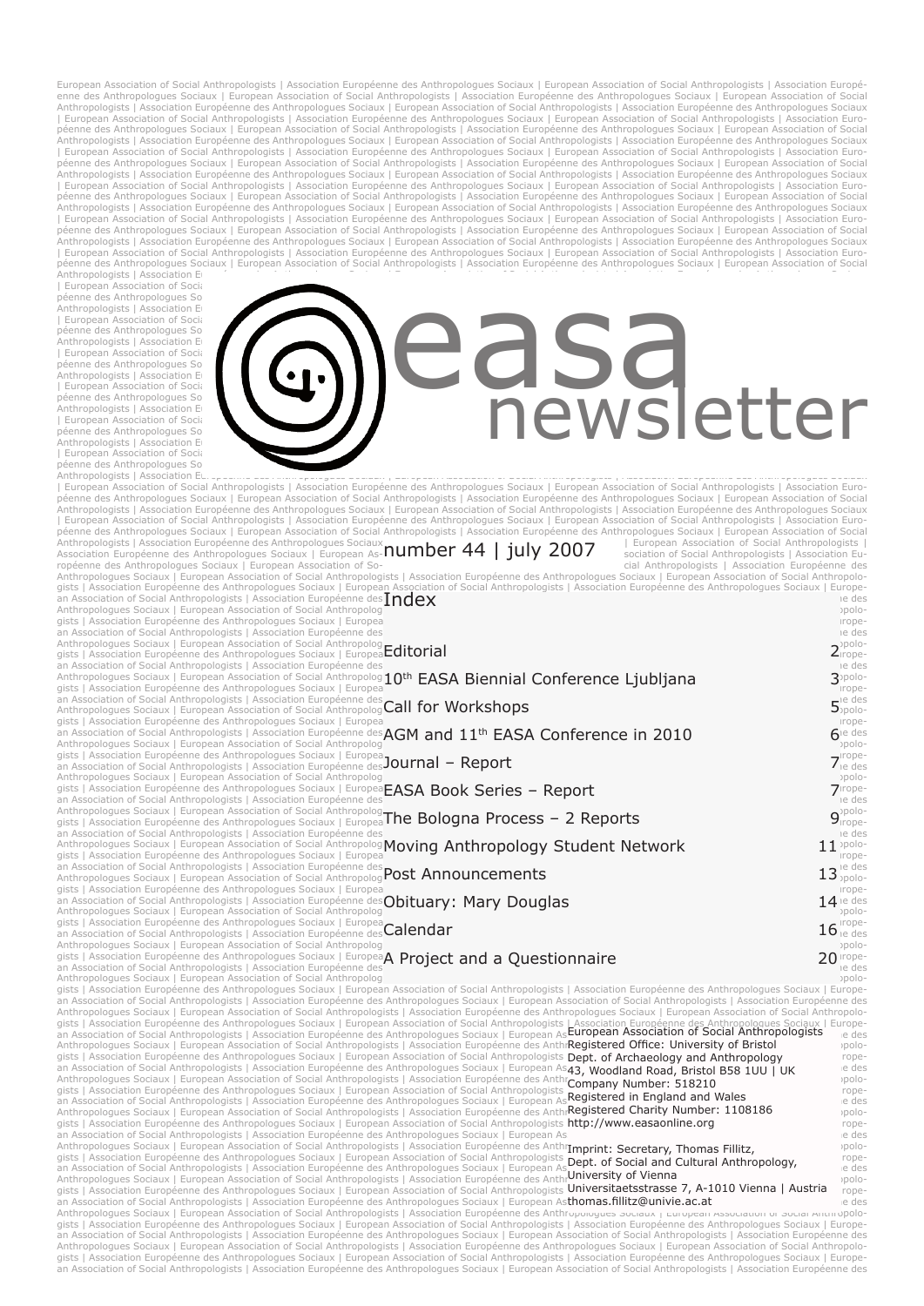European Association of Social Anthropologists | Association Européenne des Anthropologues Sociaux | European Association of Social Anthropologists | Association Européenne<br>enne des Anthropologues Sociaux | European Associ | European Association of Social Anthropologists | Association Européenne des Anthropologues Sociaux | European Association of Social Anthropologists | Association Euro-<br>péenne des Anthropologues Sociaux | European Associa Anthropologists | Association Européenne des Anthropologues Sociaux | European Association of Social Anthropologists | Association Européenne des Anthropologues Sociaux<br>| European Association of Social Anthropologists | As Anthropologists | Association Européenne des Anthropologues Sociaux | European Association of Social Anthropologists | Association Européenne des Anthropologues Sociaux<br>| European Association of Social Anthropologists | As péenne des Anthropologues Sociaux | European Association of Social Anthropologists | Association Européenne des Anthropologues Sociaux | European Association of Social<br>Anthropologists | Association Er

| European Association of Social péenne des Anthropologues Social Anthropologues Social Anthropologists | Association Européenne des Anthropologues Social en Social European Association of Social Association of Social European Association of Social Associ péenne des Anthropologues Sociation et Social<br>Anthropologists | Association Européenne des Anthropologues Sociation European Association of Social Association of Social Association of Social Association of Social Associati

# Tempean Association of Social<br>Anthropologists | Association E<br>Anthropologists | Association E<br>Péanne des Anthropologists | Association E<br>Péanne des Anthropologists | Association of Social<br>Anthropologists | Association of S

Anthropologists | Association European European Association European Association of Social Anthropologists | Association European Association of Social Anthropologists | Association European Association of Social Anthropol | European Association of Social Anthropologists | Association Européenne des Anthropologues Sociaux | European Association of Social Anthropologists | Association Euro-<br>péenne des Anthropologues Sociaux | European Associa Anthropologists | Association Européenne des Anthropologues Sociaux **number 44 | july 2007** | European Association of Social Anthropologists |<br>Association Européenne des Anthropologues Sociaux | European As-**NUMDER 4** ropéenne des Anthropologues Sociaux | European Association of So-<br>Anthropologues Sociaux | European Association of Social Anthropologues Sociation Européenne des Anthropologues<br>gists | Association Européenne des Anthropolo an Association of Social Anthropologists | Association Européenne des **Index**<br>Anthropologues Sociaux | European Association of Social Anthropolog<sup>ienne</sup> des **Index** gists | Association Européenne des Anthropologues Sociaux | Europea<br>an Association of Social Anthropologists | Association Européenne des<br>Anthropologues Sociaux | European Association of Social Anthropologues Sociaux | Eur Anthropologues Sociaux | European Association of Social Anthropolog **10th EASA Biennial Conference Ljubljana** 3<sup>pplo-</sup>3 Anthropologues Sociaux | European Association of Social Anthropolog 10<sup>th</sup> EASA Biennial Conference Ljubljana<br>gists | Association Européenne des Anthropologists Sociaux | Européenne des Anthropologues Social Anthropologue<br> an Association of Social Anthropologists | Association Européenne des **Call for Workshops**<br>Anthropologues Sociaux | European Association of Social Anthropolog**Call for Workshops**  $\frac{1}{2}$  Anthropologues Sociaux | European Association of Social Anthropolog Call for Workshops  $5$ <sub>polo-</sub> gists | Association Européenne des Anthropologues Sociaux | Europea<br>an Association of Social Anthropologists | Association Européenne des **AGM and 11<sup>th</sup> EASA Conference in 2010**<br>Anthropologues Sociaux | European Associati -polo- (published a contained a special control of Social Anthropolog) and the operation of Social Anthropology<br>-gists | Association Européenne des Anthropologues Sociaux | Europea**FASA Rook Series – Renort** an Association of Social Anthropologists | Association Européenne des =" 1991 - 1991 - 1991 - 1991 - 1992 - 1<br>Anthropologues Sociaux | European Association of Social Anthropolog<mark>. The Bologna Process – 2 Reports</mark><br>gists | A an Association of Social Anthropologists | Association Européenne des<br>-Anthropologues Sociaux | European Association of Social Anthropolog**Moving Anthropologus Student Network 11** 1 polo gists | Association Européenne des Anthropologues Sociaux | Europea<br>an Association of Social Anthropologists | Association Européenne des productions | Association of Social Anthropologists | Association Européenne des pro Anthropologues Sociaux | European Association of Social Anthropolog **Post Announcements**  $13^{\text{le dec}}$ gists | Association Européenne des Anthropologues Sociaux | European Association of Social Anthropologists | Association Européenne des Anthropologues Sociaux | Europe-an Association of Social Anthropologists | Association Européenne des Anthropologues Sociaux | European Association of Social Anthropologists | Association Européenne des an Association of Social Anthropologists | Association Européenne des **Obituary: Mary Douglas**<br>Anthropologues Sociaux | European Association of Social Anthropolog<br>gists | Association Européenne des Anthropologues Sociaux | gists | Association Européenne des Anthropologues Sociaux | Europea**Calendar**<br>an Association of Social Anthropologists | Association Européenne des<mark>Calendar</mark><br>Anthropologues Sociaux | European Association of Social Anthropo gists | Association Européenne des Anthropologues Sociaux | Europea**A Project and a Questionnaire**<br>an Association of Social Anthropologists | Association Européenne des **A Project and a Questionnaire** (and a comp Anthropologues Sociaux | European Association of Social Anthropolog<br>
an Association Européenne des Anthropologues Sociaux | European Association of Social Anthropologists | Association Européenne des Anthropologues Sociaux gists | Association Européenne des Anthropologues Sociaux | European Association of Social Anthropologists | Association Européenne des Anthropologues Sociaux | Europe-an Association of Social Anthropologists | Association Européenne des Anthropologues Sociaux | European Association of Social Anthropologists | Association Européenne des Dept. of Archaeology and Anthropology Anthropologues Sociaux | European Association of Social Anthropologists | Association Européenne des Anthr**Company Number: 518210**<br>-gists | Association Européenne des Anthropologues Sociaux | European Association of Social an Association of Social Anthropologists | Association Européenne des Anthropologues Sociaux | European As**Neyistered in Lityianu and wates** et des<br>Anthropologues Sociaux | European Association of Social Anthropologists | gists | Association Européenne des Anthropologues Sociaux | European Association of Social Anthropologists | **Dent of Social and Cultural Anthropology** ropean Association of Social Anthropologists | Association Européenne des Anthropologues Sociaux | European Association Européenne des Anthropologues Social Anthropologists | Association Européenne des Anthrop**ologists | Assoc** -Anthropologues Sociaux | European Association of Social Anthropologists | Association Européenne des Anthr**outversity of vienna**<br>gists | Association Européenne des Anthropologues Sociaux | European Associatio**n** of Socia Anthropologues Sociaux | European Association of Social Anthropologists | Association Européenne des Anthropougues عامده المسابح المسترع والمسترع والمسترع والمسترع والمسترع والمسترع والمسترع والمسترع والمسترع والمسترع وال an Association of Social Anthropologists | Association Européenne des Anthropologues Sociaux | European Association of Social Anthropologists | Association Européenne des European Association of Social Anthropologists Registered Office: University of Bristol 43, Woodland Road, Bristol B58 1UU | UK Company Number: 518210 Registered in England and Wales Registered Charity Number: 1108186 http://www.easaonline.org Imprint: Secretary, Thomas Fillitz, Dept. of Social and Cultural Anthropology, Universitaetsstrasse 7, A-1010 Vienna | Austria thomas.fillitz@univie.ac.at  $\frac{1}{2}$ Editorial 2<sup>ppdd</sup>: Call for Workshops AGM and 11<sup>th</sup> EASA Conference in 2010  $\frac{1}{3}$ Journal – Report  $\frac{1}{2}$ **EASA Book Series – Report 7 Property 1999**  $\frac{1}{2}$ The Bologna Process – 2 Reports 9 Moving Anthropology Student Network 11 Post Announcements Obituary: Mary Douglas **A** Project and a Questionnaire **20**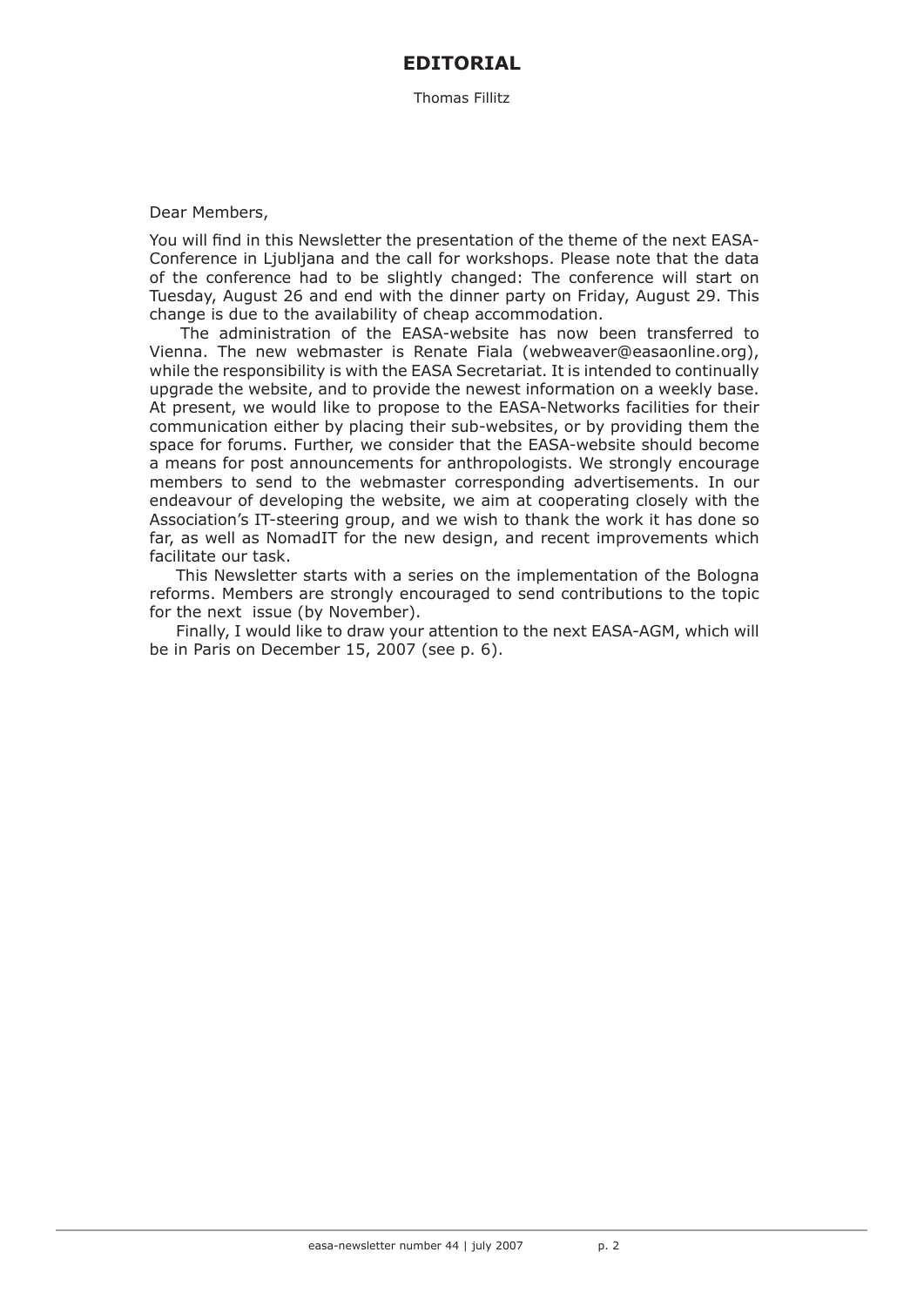# **EDITORIAL**

Thomas Fillitz

### Dear Members,

You will find in this Newsletter the presentation of the theme of the next EASA-Conference in Ljubljana and the call for workshops. Please note that the data of the conference had to be slightly changed: The conference will start on Tuesday, August 26 and end with the dinner party on Friday, August 29. This change is due to the availability of cheap accommodation.

The administration of the EASA-website has now been transferred to Vienna. The new webmaster is Renate Fiala (webweaver@easaonline.org), while the responsibility is with the EASA Secretariat. It is intended to continually upgrade the website, and to provide the newest information on a weekly base. At present, we would like to propose to the EASA-Networks facilities for their communication either by placing their sub-websites, or by providing them the space for forums. Further, we consider that the EASA-website should become a means for post announcements for anthropologists. We strongly encourage members to send to the webmaster corresponding advertisements. In our endeavour of developing the website, we aim at cooperating closely with the Association's IT-steering group, and we wish to thank the work it has done so far, as well as NomadIT for the new design, and recent improvements which facilitate our task.

This Newsletter starts with a series on the implementation of the Bologna reforms. Members are strongly encouraged to send contributions to the topic for the next issue (by November).

Finally, I would like to draw your attention to the next EASA-AGM, which will be in Paris on December 15, 2007 (see p. 6).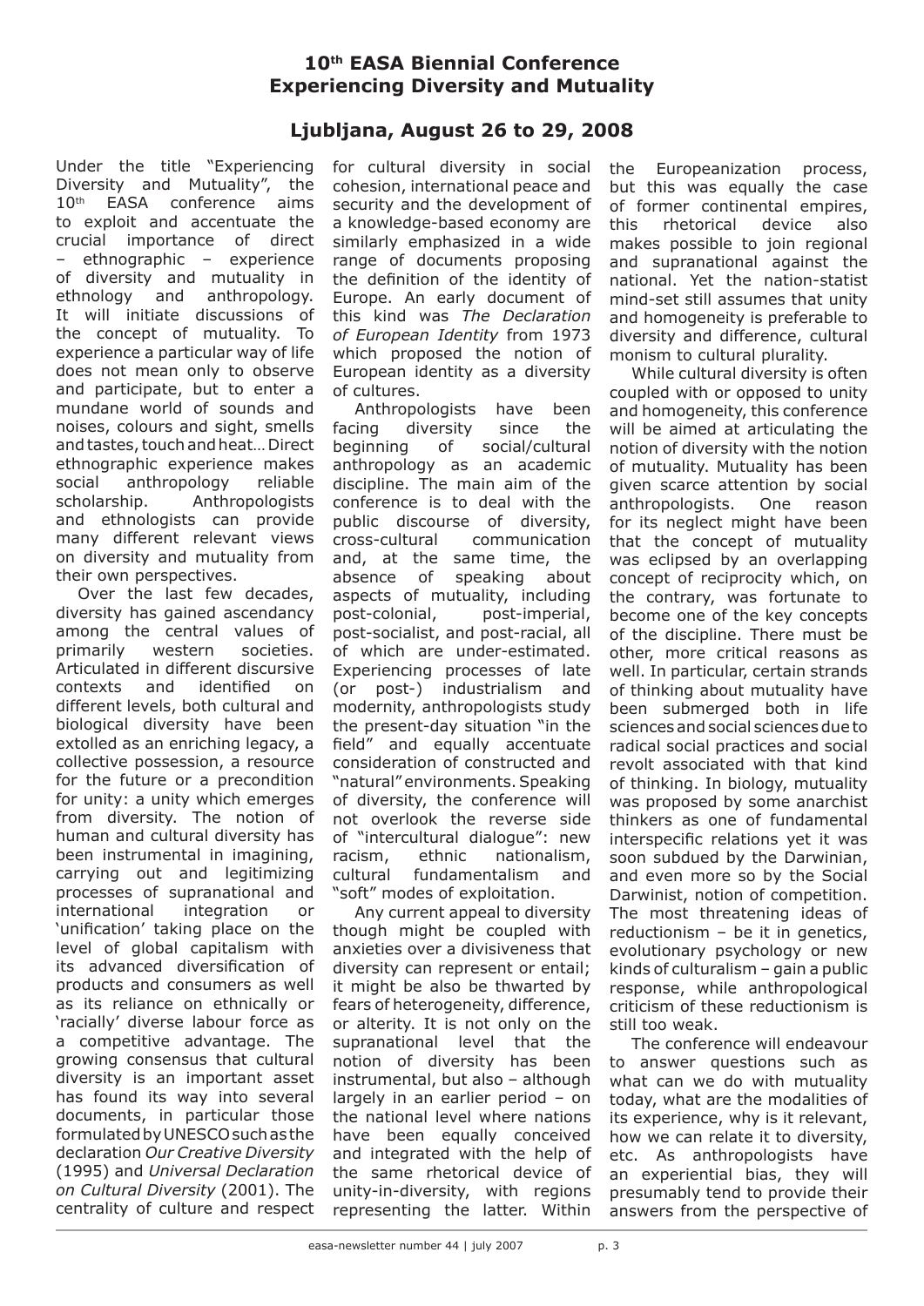# **10th EASA Biennial Conference Experiencing Diversity and Mutuality**

# **Ljubljana, August 26 to 29, 2008**

Under the title "Experiencing Diversity and Mutuality", the 10<sup>th</sup> EASA conference aims to exploit and accentuate the crucial importance of direct – ethnographic – experience of diversity and mutuality in ethnology and anthropology. It will initiate discussions of the concept of mutuality. To experience a particular way of life does not mean only to observe and participate, but to enter a mundane world of sounds and noises, colours and sight, smells and tastes, touch and heat… Direct ethnographic experience makes social anthropology reliable scholarship. Anthropologists and ethnologists can provide many different relevant views on diversity and mutuality from their own perspectives.

Over the last few decades, diversity has gained ascendancy among the central values of primarily western societies. Articulated in different discursive contexts and identified on different levels, both cultural and biological diversity have been extolled as an enriching legacy, a collective possession, a resource for the future or a precondition for unity: a unity which emerges from diversity. The notion of human and cultural diversity has been instrumental in imagining, carrying out and legitimizing processes of supranational and international integration or 'unification' taking place on the level of global capitalism with its advanced diversification of products and consumers as well as its reliance on ethnically or 'racially' diverse labour force as a competitive advantage. The growing consensus that cultural diversity is an important asset has found its way into several documents, in particular those formulated by UNESCO such as the declaration *Our Creative Diversity* (1995) and *Universal Declaration on Cultural Diversity* (2001). The centrality of culture and respect

for cultural diversity in social cohesion, international peace and security and the development of a knowledge-based economy are similarly emphasized in a wide range of documents proposing the definition of the identity of Europe. An early document of this kind was *The Declaration of European Identity* from 1973 which proposed the notion of European identity as a diversity of cultures.

Anthropologists have been facing diversity since the beginning of social/cultural anthropology as an academic discipline. The main aim of the conference is to deal with the public discourse of diversity, cross-cultural communication and, at the same time, the absence of speaking about aspects of mutuality, including post-colonial, post-imperial, post-socialist, and post-racial, all of which are under-estimated. Experiencing processes of late (or post-) industrialism and modernity, anthropologists study the present-day situation "in the field" and equally accentuate consideration of constructed and "natural" environments. Speaking of diversity, the conference will not overlook the reverse side of "intercultural dialogue": new racism, ethnic nationalism, cultural fundamentalism and "soft" modes of exploitation.

Any current appeal to diversity though might be coupled with anxieties over a divisiveness that diversity can represent or entail; it might be also be thwarted by fears of heterogeneity, difference, or alterity. It is not only on the supranational level that the notion of diversity has been instrumental, but also – although largely in an earlier period – on the national level where nations have been equally conceived and integrated with the help of the same rhetorical device of unity-in-diversity, with regions representing the latter. Within

the Europeanization process, but this was equally the case of former continental empires, this rhetorical device also makes possible to join regional and supranational against the national. Yet the nation-statist mind-set still assumes that unity and homogeneity is preferable to diversity and difference, cultural monism to cultural plurality.

While cultural diversity is often coupled with or opposed to unity and homogeneity, this conference will be aimed at articulating the notion of diversity with the notion of mutuality. Mutuality has been given scarce attention by social anthropologists. One reason for its neglect might have been that the concept of mutuality was eclipsed by an overlapping concept of reciprocity which, on the contrary, was fortunate to become one of the key concepts of the discipline. There must be other, more critical reasons as well. In particular, certain strands of thinking about mutuality have been submerged both in life sciences and social sciences due to radical social practices and social revolt associated with that kind of thinking. In biology, mutuality was proposed by some anarchist thinkers as one of fundamental interspecific relations yet it was soon subdued by the Darwinian, and even more so by the Social Darwinist, notion of competition. The most threatening ideas of reductionism – be it in genetics, evolutionary psychology or new kinds of culturalism – gain a public response, while anthropological criticism of these reductionism is still too weak.

The conference will endeavour to answer questions such as what can we do with mutuality today, what are the modalities of its experience, why is it relevant, how we can relate it to diversity, etc. As anthropologists have an experiential bias, they will presumably tend to provide their answers from the perspective of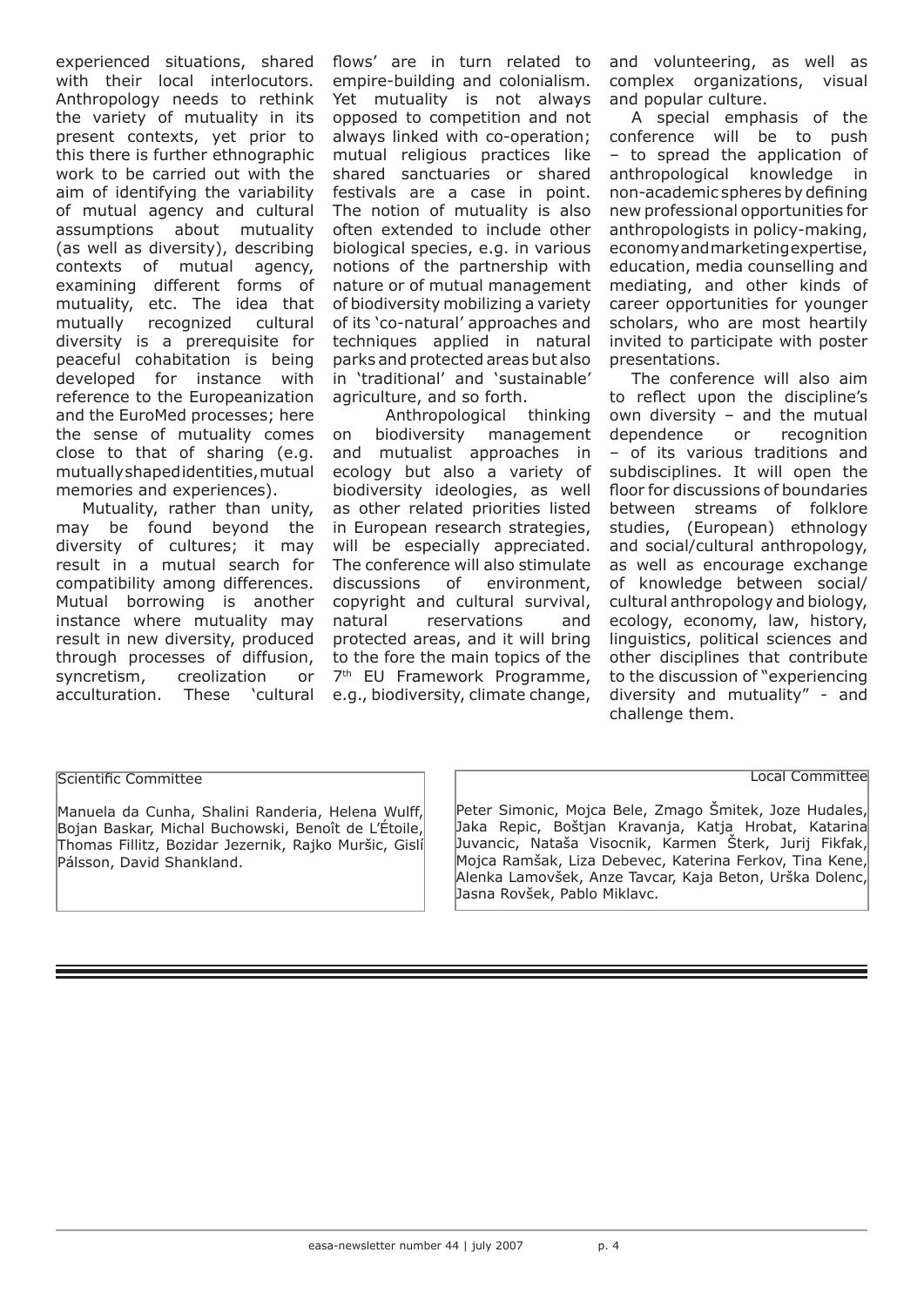experienced situations, shared with their local interlocutors. Anthropology needs to rethink the variety of mutuality in its present contexts, yet prior to this there is further ethnographic work to be carried out with the aim of identifying the variability of mutual agency and cultural assumptions about mutuality (as well as diversity), describing contexts of mutual agency, examining different forms of mutuality, etc. The idea that mutually recognized cultural diversity is a prerequisite for peaceful cohabitation is being developed for instance with reference to the Europeanization and the EuroMed processes; here the sense of mutuality comes close to that of sharing (e.g. mutually shaped identities, mutual memories and experiences).

Mutuality, rather than unity, may be found beyond the diversity of cultures; it may result in a mutual search for compatibility among differences. Mutual borrowing is another instance where mutuality may result in new diversity, produced through processes of diffusion, syncretism, creolization or acculturation. These 'cultural flows' are in turn related to empire-building and colonialism. Yet mutuality is not always opposed to competition and not always linked with co-operation; mutual religious practices like shared sanctuaries or shared festivals are a case in point. The notion of mutuality is also often extended to include other biological species, e.g. in various notions of the partnership with nature or of mutual management of biodiversity mobilizing a variety of its 'co-natural' approaches and techniques applied in natural parks and protected areas but also in 'traditional' and 'sustainable' agriculture, and so forth.

Anthropological thinking on biodiversity management and mutualist approaches in ecology but also a variety of biodiversity ideologies, as well as other related priorities listed in European research strategies, will be especially appreciated. The conference will also stimulate discussions of environment, copyright and cultural survival, natural reservations and protected areas, and it will bring to the fore the main topics of the 7<sup>th</sup> EU Framework Programme, e.g., biodiversity, climate change,

and volunteering, as well as complex organizations, visual and popular culture.

A special emphasis of the conference will be to push – to spread the application of anthropological knowledge in non-academic spheres by defining new professional opportunities for anthropologists in policy-making, economy and marketing expertise, education, media counselling and mediating, and other kinds of career opportunities for younger scholars, who are most heartily invited to participate with poster presentations.

The conference will also aim to reflect upon the discipline's own diversity – and the mutual dependence or recognition – of its various traditions and subdisciplines. It will open the floor for discussions of boundaries between streams of folklore studies, (European) ethnology and social/cultural anthropology, as well as encourage exchange of knowledge between social/ cultural anthropology and biology, ecology, economy, law, history, linguistics, political sciences and other disciplines that contribute to the discussion of "experiencing diversity and mutuality" - and challenge them.

Local Committee

#### Scientific Committee

Manuela da Cunha, Shalini Randeria, Helena Wulff, Bojan Baskar, Michal Buchowski, Benoît de L'Étoile, Thomas Fillitz, Bozidar Jezernik, Rajko Muršic, Gislí Pálsson, David Shankland.

Peter Simonic, Mojca Bele, Zmago Šmitek, Joze Hudales, Jaka Repic, Boštjan Kravanja, Katja Hrobat, Katarina Juvancic, Nataša Visocnik, Karmen Šterk, Jurij Fikfak, Mojca Ramšak, Liza Debevec, Katerina Ferkov, Tina Kene, Alenka Lamovšek, Anze Tavcar, Kaja Beton, Urška Dolenc, Jasna Rovšek, Pablo Miklavc.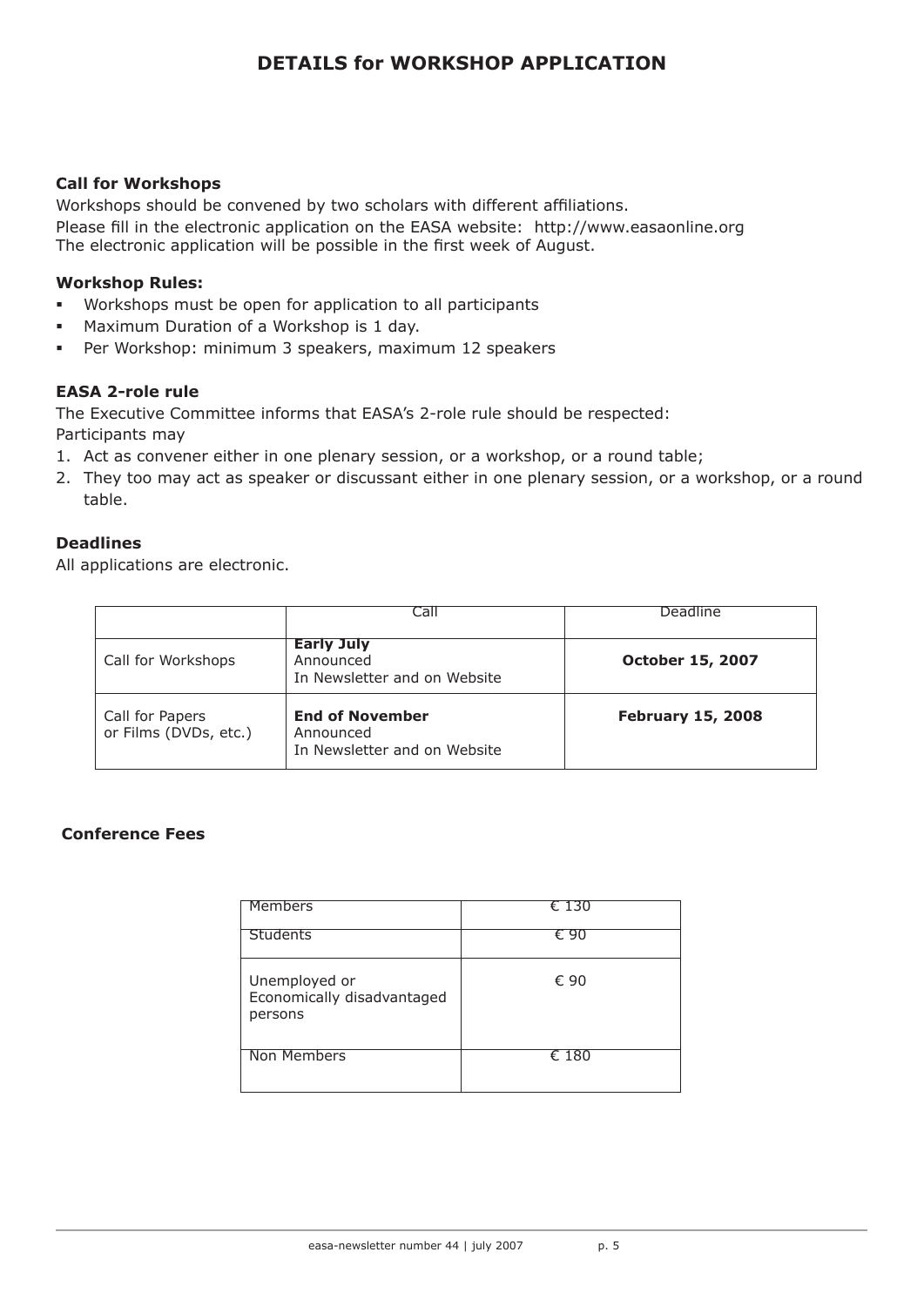# **DETAILS for WORKSHOP APPLICATION**

## **Call for Workshops**

Workshops should be convened by two scholars with different affiliations. Please fill in the electronic application on the EASA website: http://www.easaonline.org The electronic application will be possible in the first week of August.

## **Workshop Rules:**

- **Workshops must be open for application to all participants**
- **BED Maximum Duration of a Workshop is 1 day.**
- **•** Per Workshop: minimum 3 speakers, maximum 12 speakers

## **EASA 2-role rule**

The Executive Committee informs that EASA's 2-role rule should be respected:

Participants may

- 1. Act as convener either in one plenary session, or a workshop, or a round table;
- 2. They too may act as speaker or discussant either in one plenary session, or a workshop, or a round table.

# **Deadlines**

All applications are electronic.

|                                          | Call                                                                | Deadline                 |
|------------------------------------------|---------------------------------------------------------------------|--------------------------|
| Call for Workshops                       | <b>Early July</b><br>Announced<br>In Newsletter and on Website      | <b>October 15, 2007</b>  |
| Call for Papers<br>or Films (DVDs, etc.) | <b>End of November</b><br>Announced<br>In Newsletter and on Website | <b>February 15, 2008</b> |

## **Conference Fees**

| Members                                                | € 130          |
|--------------------------------------------------------|----------------|
| <b>Students</b>                                        | € 90           |
| Unemployed or<br>Economically disadvantaged<br>persons | € 90           |
| Non Members                                            | $\epsilon$ 180 |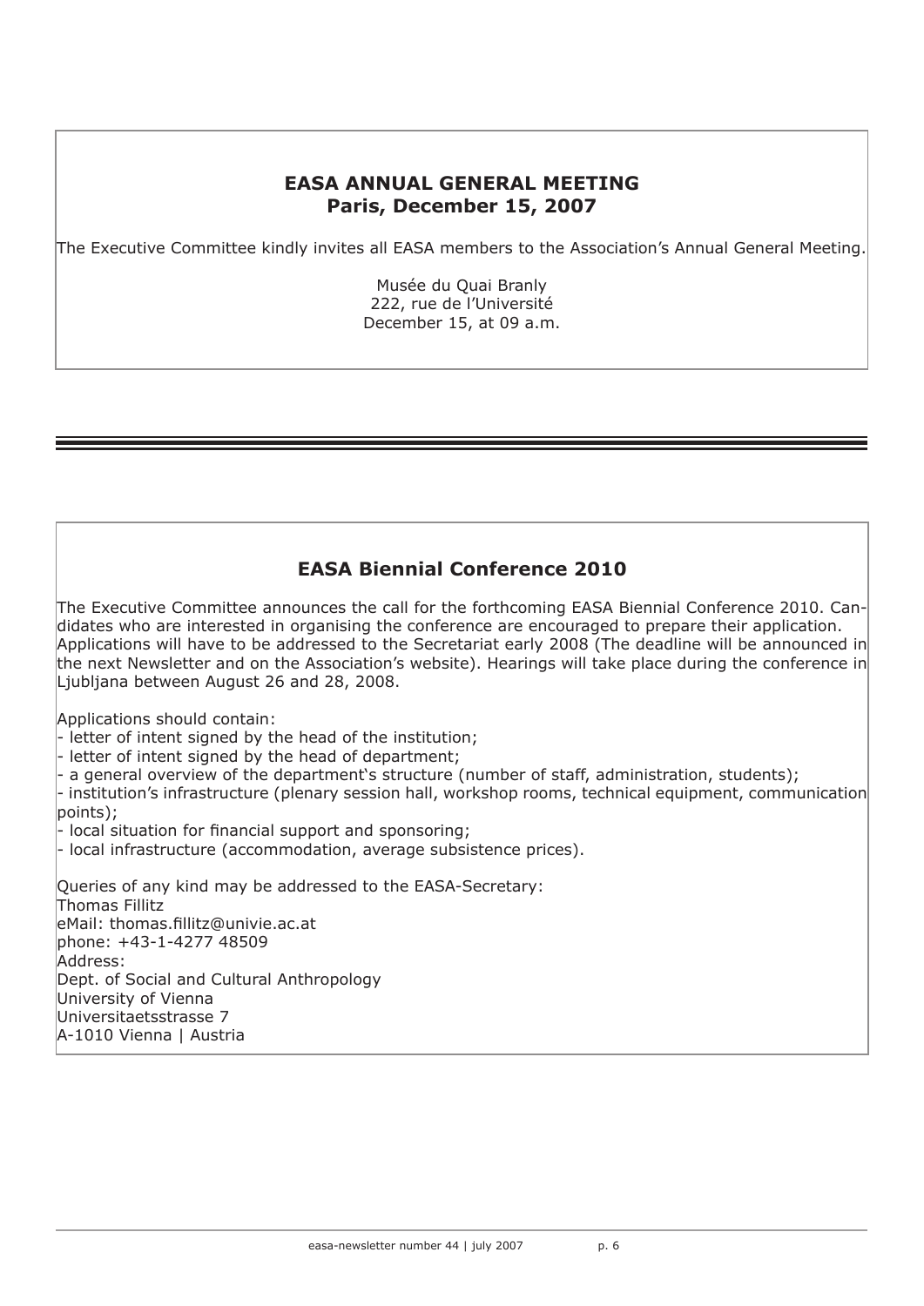# **EASA ANNUAL GENERAL MEETING Paris, December 15, 2007**

The Executive Committee kindly invites all EASA members to the Association's Annual General Meeting.

Musée du Quai Branly 222, rue de l'Université December 15, at 09 a.m.

# **EASA Biennial Conference 2010**

The Executive Committee announces the call for the forthcoming EASA Biennial Conference 2010. Candidates who are interested in organising the conference are encouraged to prepare their application. Applications will have to be addressed to the Secretariat early 2008 (The deadline will be announced in the next Newsletter and on the Association's website). Hearings will take place during the conference in Ljubljana between August 26 and 28, 2008.

Applications should contain:

- letter of intent signed by the head of the institution;

- letter of intent signed by the head of department;

a general overview of the department's structure (number of staff, administration, students);

- institution's infrastructure (plenary session hall, workshop rooms, technical equipment, communication points);

- local situation for financial support and sponsoring;

- local infrastructure (accommodation, average subsistence prices).

Queries of any kind may be addressed to the EASA-Secretary: Thomas Fillitz eMail: thomas.fillitz@univie.ac.at phone: +43-1-4277 48509 Address: Dept. of Social and Cultural Anthropology University of Vienna Universitaetsstrasse 7 A-1010 Vienna | Austria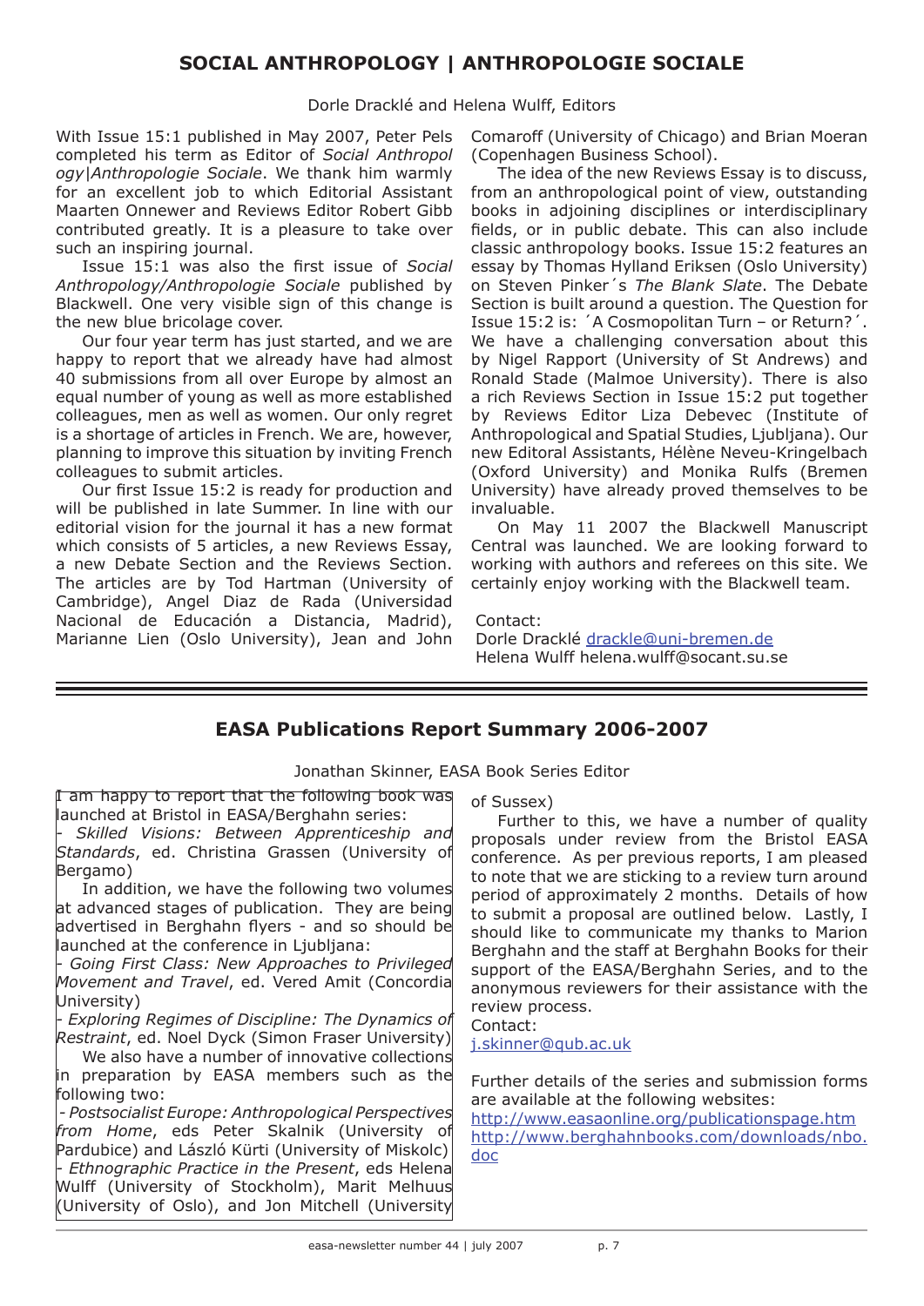# **SOCIAL ANTHROPOLOGY | ANTHROPOLOGIE SOCIALE**

Dorle Dracklé and Helena Wulff, Editors

With Issue 15:1 published in May 2007, Peter Pels completed his term as Editor of *Social Anthropol ogy|Anthropologie Sociale*. We thank him warmly for an excellent job to which Editorial Assistant Maarten Onnewer and Reviews Editor Robert Gibb contributed greatly. It is a pleasure to take over such an inspiring journal.

Issue 15:1 was also the first issue of *Social Anthropology/Anthropologie Sociale* published by Blackwell. One very visible sign of this change is the new blue bricolage cover.

Our four year term has just started, and we are happy to report that we already have had almost 40 submissions from all over Europe by almost an equal number of young as well as more established colleagues, men as well as women. Our only regret is a shortage of articles in French. We are, however, planning to improve this situation by inviting French colleagues to submit articles.

Our first Issue 15:2 is ready for production and will be published in late Summer. In line with our editorial vision for the journal it has a new format which consists of 5 articles, a new Reviews Essay, a new Debate Section and the Reviews Section. The articles are by Tod Hartman (University of Cambridge), Angel Diaz de Rada (Universidad Nacional de Educación a Distancia, Madrid), Marianne Lien (Oslo University), Jean and John

Comaroff (University of Chicago) and Brian Moeran (Copenhagen Business School).

The idea of the new Reviews Essay is to discuss, from an anthropological point of view, outstanding books in adjoining disciplines or interdisciplinary fields, or in public debate. This can also include classic anthropology books. Issue 15:2 features an essay by Thomas Hylland Eriksen (Oslo University) on Steven Pinker´s *The Blank Slate*. The Debate Section is built around a question. The Question for Issue 15:2 is: ´A Cosmopolitan Turn – or Return?´. We have a challenging conversation about this by Nigel Rapport (University of St Andrews) and Ronald Stade (Malmoe University). There is also a rich Reviews Section in Issue 15:2 put together by Reviews Editor Liza Debevec (Institute of Anthropological and Spatial Studies, Ljubljana). Our new Editoral Assistants, Hélène Neveu-Kringelbach (Oxford University) and Monika Rulfs (Bremen University) have already proved themselves to be invaluable.

On May 11 2007 the Blackwell Manuscript Central was launched. We are looking forward to working with authors and referees on this site. We certainly enjoy working with the Blackwell team.

#### Contact:

Dorle Dracklé drackle@uni-bremen.de Helena Wulff helena.wulff@socant.su.se

# **EASA Publications Report Summary 2006-2007**

Jonathan Skinner, EASA Book Series Editor

I am happy to report that the following book was launched at Bristol in EASA/Berghahn series: *- Skilled Visions: Between Apprenticeship and Standards*, ed. Christina Grassen (University of Bergamo) In addition, we have the following two volumes at advanced stages of publication. They are being advertised in Berghahn flyers - and so should be launched at the conference in Ljubljana: *- Going First Class: New Approaches to Privileged Movement and Travel*, ed. Vered Amit (Concordia University) *- Exploring Regimes of Discipline: The Dynamics of Restraint*, ed. Noel Dyck (Simon Fraser University) We also have a number of innovative collections in preparation by EASA members such as the following two:  *- Postsocialist Europe: Anthropological Perspectives from Home*, eds Peter Skalnik (University of Pardubice) and László Kürti (University of Miskolc) *- Ethnographic Practice in the Present*, eds Helena Wulff (University of Stockholm), Marit Melhuus (University of Oslo), and Jon Mitchell (University Contact: doc

of Sussex)

Further to this, we have a number of quality proposals under review from the Bristol EASA conference. As per previous reports, I am pleased to note that we are sticking to a review turn around period of approximately 2 months. Details of how to submit a proposal are outlined below. Lastly, I should like to communicate my thanks to Marion Berghahn and the staff at Berghahn Books for their support of the EASA/Berghahn Series, and to the anonymous reviewers for their assistance with the review process.

j.skinner@qub.ac.uk

Further details of the series and submission forms are available at the following websites:

http://www.easaonline.org/publicationspage.htm http://www.berghahnbooks.com/downloads/nbo.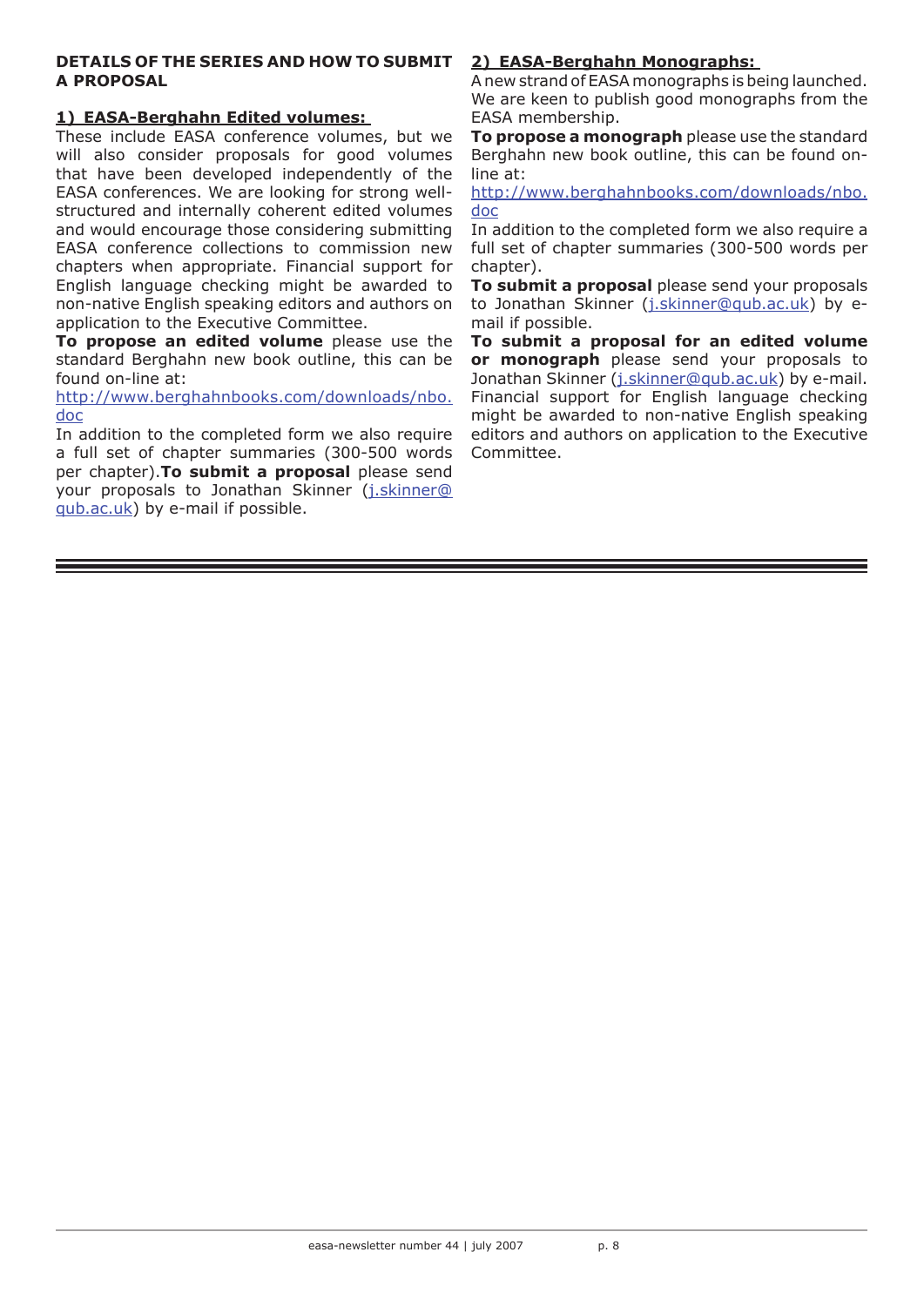## **DETAILS OF THE SERIES AND HOW TO SUBMIT A PROPOSAL**

## **1) EASA-Berghahn Edited volumes:**

These include EASA conference volumes, but we will also consider proposals for good volumes that have been developed independently of the EASA conferences. We are looking for strong wellstructured and internally coherent edited volumes and would encourage those considering submitting EASA conference collections to commission new chapters when appropriate. Financial support for English language checking might be awarded to non-native English speaking editors and authors on application to the Executive Committee.

**To propose an edited volume** please use the standard Berghahn new book outline, this can be found on-line at:

http://www.berghahnbooks.com/downloads/nbo. doc

In addition to the completed form we also require a full set of chapter summaries (300-500 words per chapter).**To submit a proposal** please send your proposals to Jonathan Skinner (j.skinner@ qub.ac.uk) by e-mail if possible.

# **2) EASA-Berghahn Monographs:**

A new strand of EASA monographs is being launched. We are keen to publish good monographs from the EASA membership.

**To propose a monograph** please use the standard Berghahn new book outline, this can be found online at:

http://www.berghahnbooks.com/downloads/nbo. doc

In addition to the completed form we also require a full set of chapter summaries (300-500 words per chapter).

**To submit a proposal** please send your proposals to Jonathan Skinner (j.skinner@qub.ac.uk) by email if possible.

**To submit a proposal for an edited volume or monograph** please send your proposals to Jonathan Skinner (j.skinner@qub.ac.uk) by e-mail. Financial support for English language checking might be awarded to non-native English speaking editors and authors on application to the Executive Committee.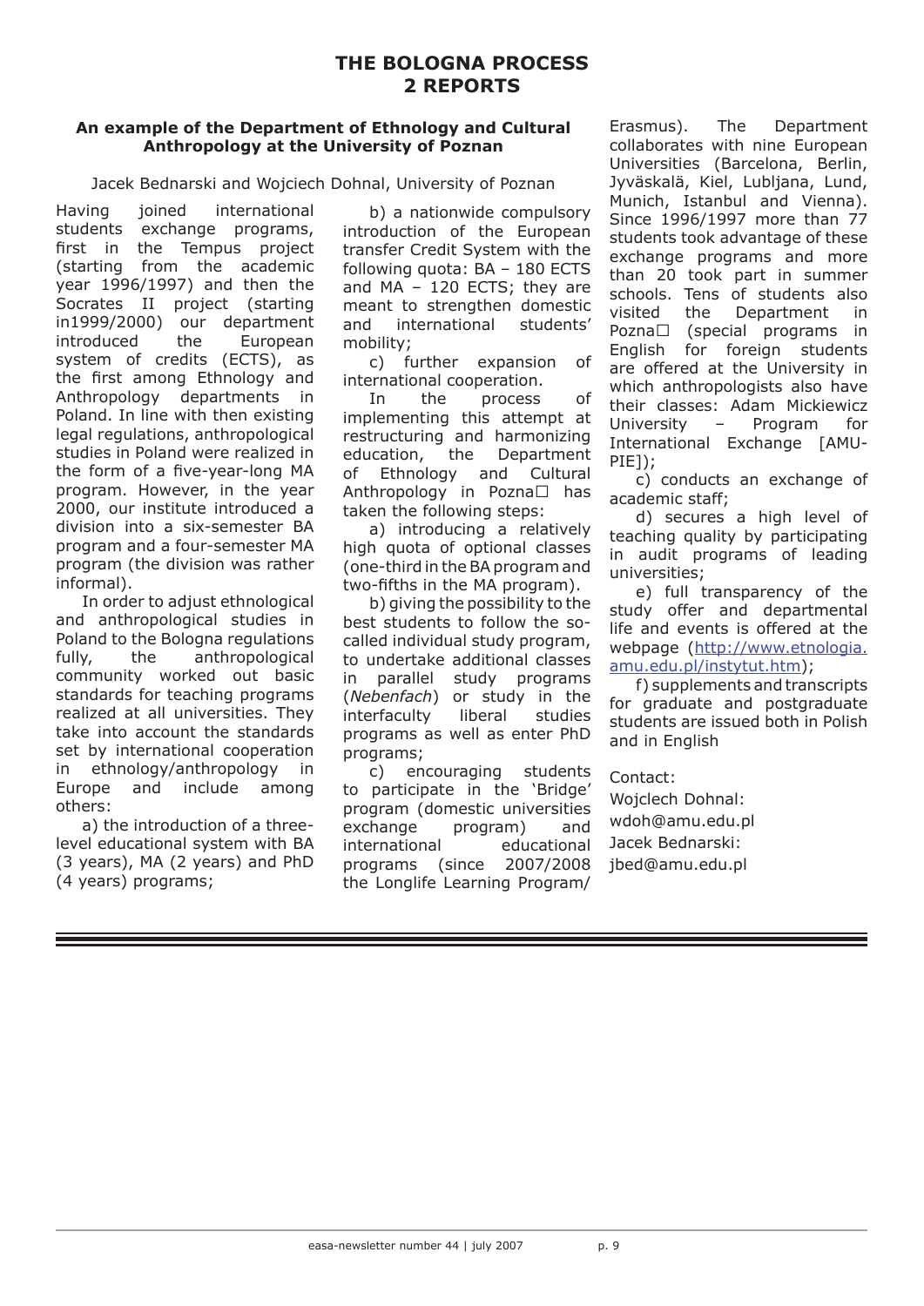# **THE BOLOGNA PROCESS 2 REPORTS**

## **An example of the Department of Ethnology and Cultural Anthropology at the University of Poznan**

Jacek Bednarski and Wojciech Dohnal, University of Poznan

Having joined international students exchange programs, first in the Tempus project (starting from the academic year 1996/1997) and then the Socrates II project (starting in1999/2000) our department introduced the European system of credits (ECTS), as the first among Ethnology and Anthropology departments in Poland. In line with then existing legal regulations, anthropological studies in Poland were realized in the form of a five-year-long MA program. However, in the year 2000, our institute introduced a division into a six-semester BA program and a four-semester MA program (the division was rather informal).

In order to adjust ethnological and anthropological studies in Poland to the Bologna regulations fully, the anthropological community worked out basic standards for teaching programs realized at all universities. They take into account the standards set by international cooperation in ethnology/anthropology in Europe and include among others:

a) the introduction of a threelevel educational system with BA (3 years), MA (2 years) and PhD (4 years) programs;

b) a nationwide compulsory introduction of the European transfer Credit System with the following quota: BA – 180 ECTS and MA – 120 ECTS; they are meant to strengthen domestic and international students' mobility;

c) further expansion of international cooperation.

In the process of implementing this attempt at restructuring and harmonizing education, the Department of Ethnology and Cultural Anthropology in Pozna $\square$  has taken the following steps:

a) introducing a relatively high quota of optional classes (one-third in the BA program and two-fifths in the MA program).

b) giving the possibility to the best students to follow the socalled individual study program, to undertake additional classes in parallel study programs (*Nebenfach*) or study in the interfaculty liberal studies programs as well as enter PhD programs;

c) encouraging students to participate in the 'Bridge' program (domestic universities exchange program) and international educational programs (since 2007/2008 the Longlife Learning Program/

Erasmus). The Department collaborates with nine European Universities (Barcelona, Berlin, Jyväskalä, Kiel, Lubljana, Lund, Munich, Istanbul and Vienna). Since 1996/1997 more than 77 students took advantage of these exchange programs and more than 20 took part in summer schools. Tens of students also visited the Department in Pozna $\Box$  (special programs in English for foreign students are offered at the University in which anthropologists also have their classes: Adam Mickiewicz University – Program for International Exchange [AMU-PIE]);

c) conducts an exchange of academic staff;

d) secures a high level of teaching quality by participating in audit programs of leading universities;

e) full transparency of the study offer and departmental life and events is offered at the webpage (http://www.etnologia. amu.edu.pl/instytut.htm);

f) supplements and transcripts for graduate and postgraduate students are issued both in Polish and in English

Contact:

Wojclech Dohnal: wdoh@amu.edu.pl Jacek Bednarski: jbed@amu.edu.pl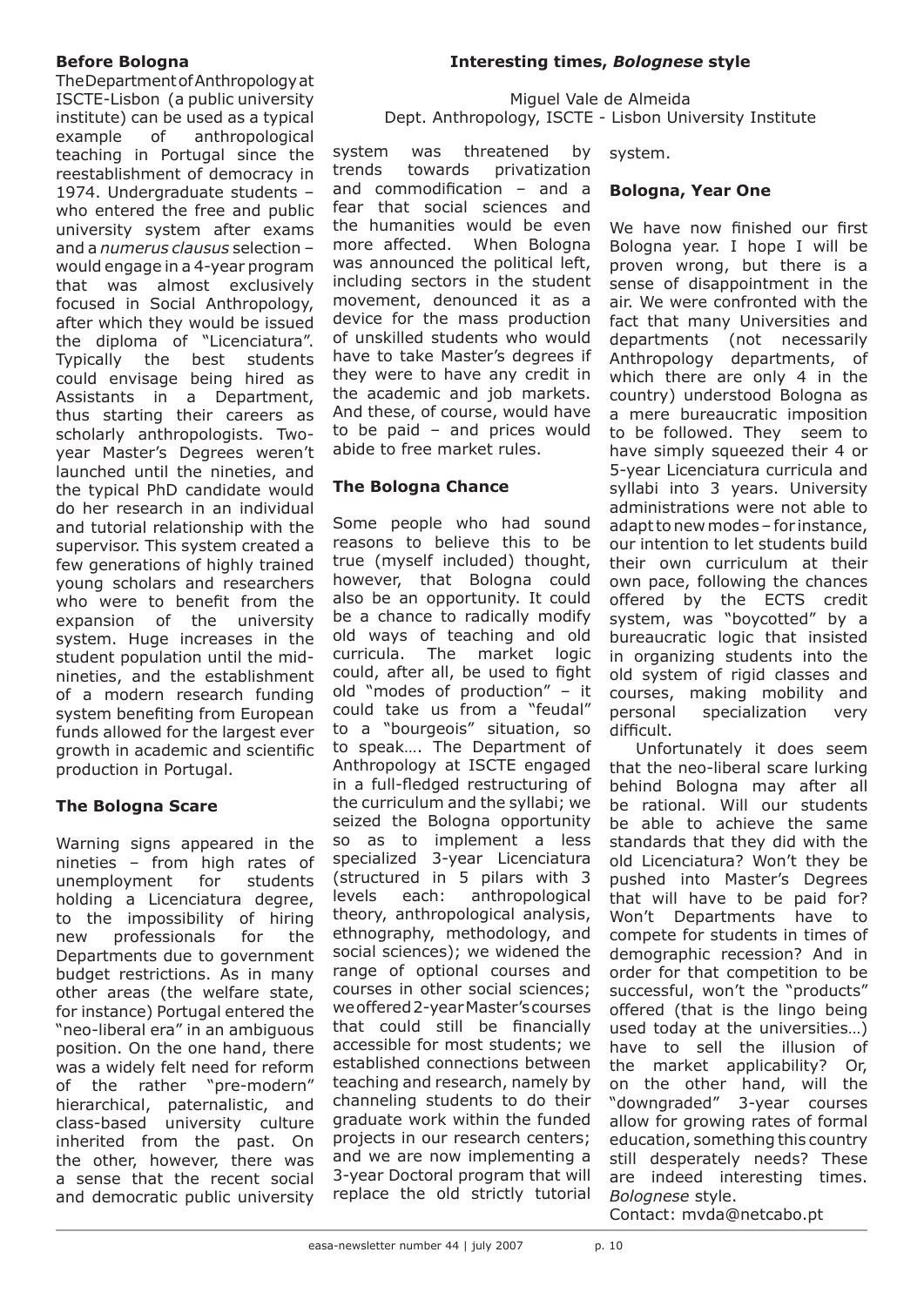## **Before Bologna**

The Department of Anthropology at ISCTE-Lisbon (a public university institute) can be used as a typical example of anthropological teaching in Portugal since the reestablishment of democracy in 1974. Undergraduate students – who entered the free and public university system after exams and a *numerus clausus* selection – would engage in a 4-year program that was almost exclusively focused in Social Anthropology, after which they would be issued the diploma of "Licenciatura". Typically the best students could envisage being hired as Assistants in a Department, thus starting their careers as scholarly anthropologists. Twoyear Master's Degrees weren't launched until the nineties, and the typical PhD candidate would do her research in an individual and tutorial relationship with the supervisor. This system created a few generations of highly trained young scholars and researchers who were to benefit from the expansion of the university system. Huge increases in the student population until the midnineties, and the establishment of a modern research funding system benefiting from European funds allowed for the largest ever growth in academic and scientific production in Portugal.

# **The Bologna Scare**

Warning signs appeared in the nineties – from high rates of unemployment for students holding a Licenciatura degree, to the impossibility of hiring new professionals for the Departments due to government budget restrictions. As in many other areas (the welfare state, for instance) Portugal entered the "neo-liberal era" in an ambiguous position. On the one hand, there was a widely felt need for reform of the rather "pre-modern" hierarchical, paternalistic, and class-based university culture inherited from the past. On the other, however, there was a sense that the recent social and democratic public university

## **Interesting times,** *Bolognese* **style**

Miguel Vale de Almeida Dept. Anthropology, ISCTE - Lisbon University Institute

system was threatened by trends towards privatization and commodification – and a fear that social sciences and the humanities would be even more affected. When Bologna was announced the political left, including sectors in the student movement, denounced it as a device for the mass production of unskilled students who would have to take Master's degrees if they were to have any credit in the academic and job markets. And these, of course, would have to be paid – and prices would abide to free market rules.

**The Bologna Chance**

Some people who had sound reasons to believe this to be true (myself included) thought, however, that Bologna could also be an opportunity. It could be a chance to radically modify old ways of teaching and old curricula. The market logic could, after all, be used to fight old "modes of production" – it could take us from a "feudal" to a "bourgeois" situation, so to speak…. The Department of Anthropology at ISCTE engaged in a full-fledged restructuring of the curriculum and the syllabi; we seized the Bologna opportunity so as to implement a less specialized 3-year Licenciatura (structured in 5 pilars with 3 levels each: anthropological theory, anthropological analysis, ethnography, methodology, and social sciences); we widened the range of optional courses and courses in other social sciences; we offered 2-year Master's courses that could still be financially accessible for most students; we established connections between teaching and research, namely by channeling students to do their graduate work within the funded projects in our research centers; and we are now implementing a 3-year Doctoral program that will replace the old strictly tutorial

system.

## **Bologna, Year One**

We have now finished our first Bologna year. I hope I will be proven wrong, but there is a sense of disappointment in the air. We were confronted with the fact that many Universities and departments (not necessarily Anthropology departments, of which there are only 4 in the country) understood Bologna as a mere bureaucratic imposition to be followed. They seem to have simply squeezed their 4 or 5-year Licenciatura curricula and syllabi into 3 years. University administrations were not able to adapt to new modes – for instance, our intention to let students build their own curriculum at their own pace, following the chances offered by the ECTS credit system, was "boycotted" by a bureaucratic logic that insisted in organizing students into the old system of rigid classes and courses, making mobility and personal specialization very difficult.

Unfortunately it does seem that the neo-liberal scare lurking behind Bologna may after all be rational. Will our students be able to achieve the same standards that they did with the old Licenciatura? Won't they be pushed into Master's Degrees that will have to be paid for? Won't Departments have to compete for students in times of demographic recession? And in order for that competition to be successful, won't the "products" offered (that is the lingo being used today at the universities…) have to sell the illusion of the market applicability? Or, on the other hand, will the "downgraded" 3-year courses allow for growing rates of formal education, something this country still desperately needs? These are indeed interesting times. *Bolognese* style.

Contact: mvda@netcabo.pt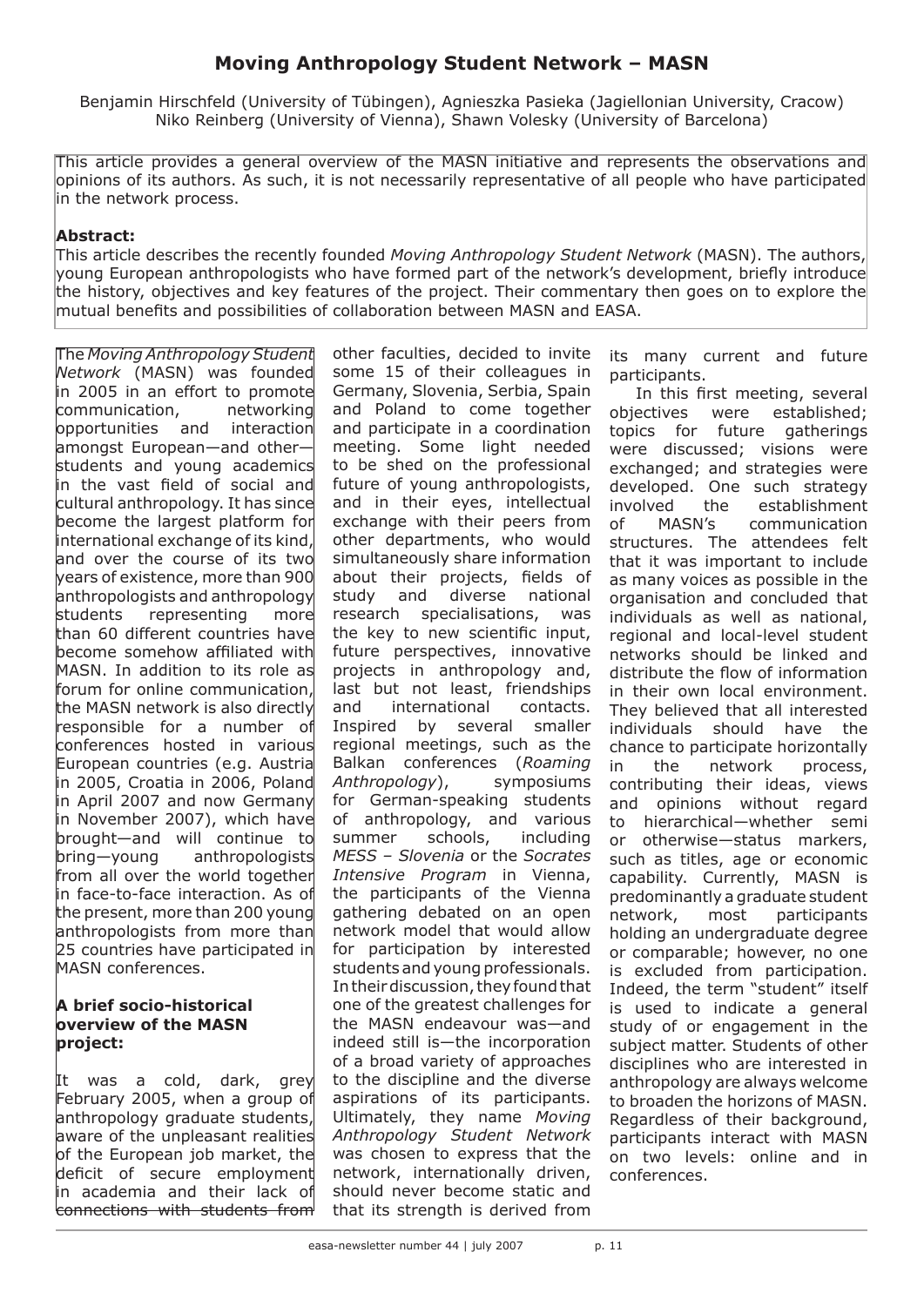# **Moving Anthropology Student Network – MASN**

Benjamin Hirschfeld (University of Tübingen), Agnieszka Pasieka (Jagiellonian University, Cracow) Niko Reinberg (University of Vienna), Shawn Volesky (University of Barcelona)

This article provides a general overview of the MASN initiative and represents the observations and opinions of its authors. As such, it is not necessarily representative of all people who have participated in the network process.

## **Abstract:**

This article describes the recently founded *Moving Anthropology Student Network* (MASN). The authors, young European anthropologists who have formed part of the network's development, briefly introduce the history, objectives and key features of the project. Their commentary then goes on to explore the mutual benefits and possibilities of collaboration between MASN and EASA.

The *Moving Anthropology Student Network* (MASN) was founded in 2005 in an effort to promote communication, networking opportunities and interaction amongst European—and other students and young academics in the vast field of social and cultural anthropology. It has since become the largest platform for international exchange of its kind, and over the course of its two years of existence, more than 900 anthropologists and anthropology students representing more than 60 different countries have become somehow affiliated with MASN. In addition to its role as forum for online communication, the MASN network is also directly responsible for a number of conferences hosted in various European countries (e.g. Austria in 2005, Croatia in 2006, Poland in April 2007 and now Germany in November 2007), which have brought—and will continue to bring—young anthropologists from all over the world together in face-to-face interaction. As of the present, more than 200 young anthropologists from more than 25 countries have participated in MASN conferences.

## **A brief socio-historical overview of the MASN project:**

It was a cold, dark, grey February 2005, when a group of anthropology graduate students, aware of the unpleasant realities of the European job market, the deficit of secure employment in academia and their lack of connections with students from

other faculties, decided to invite some 15 of their colleagues in Germany, Slovenia, Serbia, Spain and Poland to come together and participate in a coordination meeting. Some light needed to be shed on the professional future of young anthropologists, and in their eyes, intellectual exchange with their peers from other departments, who would simultaneously share information about their projects, fields of study and diverse national research specialisations, was the key to new scientific input, future perspectives, innovative projects in anthropology and, last but not least, friendships and international contacts. Inspired by several smaller regional meetings, such as the Balkan conferences (*Roaming Anthropology*), symposiums for German-speaking students of anthropology, and various summer schools, including *MESS – Slovenia* or the *Socrates Intensive Program* in Vienna, the participants of the Vienna gathering debated on an open network model that would allow for participation by interested students and young professionals. In their discussion, they found that one of the greatest challenges for the MASN endeavour was—and indeed still is—the incorporation of a broad variety of approaches to the discipline and the diverse aspirations of its participants. Ultimately, they name *Moving Anthropology Student Network*  was chosen to express that the network, internationally driven, should never become static and that its strength is derived from

its many current and future participants.

In this first meeting, several objectives were established; topics for future gatherings were discussed; visions were exchanged; and strategies were developed. One such strategy involved the establishment of MASN's communication structures. The attendees felt that it was important to include as many voices as possible in the organisation and concluded that individuals as well as national, regional and local-level student networks should be linked and distribute the flow of information in their own local environment. They believed that all interested individuals should have the chance to participate horizontally in the network process, contributing their ideas, views and opinions without regard to hierarchical—whether semi or otherwise—status markers, such as titles, age or economic capability. Currently, MASN is predominantly a graduate student network, most participants holding an undergraduate degree or comparable; however, no one is excluded from participation. Indeed, the term "student" itself is used to indicate a general study of or engagement in the subject matter. Students of other disciplines who are interested in anthropology are always welcome to broaden the horizons of MASN. Regardless of their background, participants interact with MASN on two levels: online and in conferences.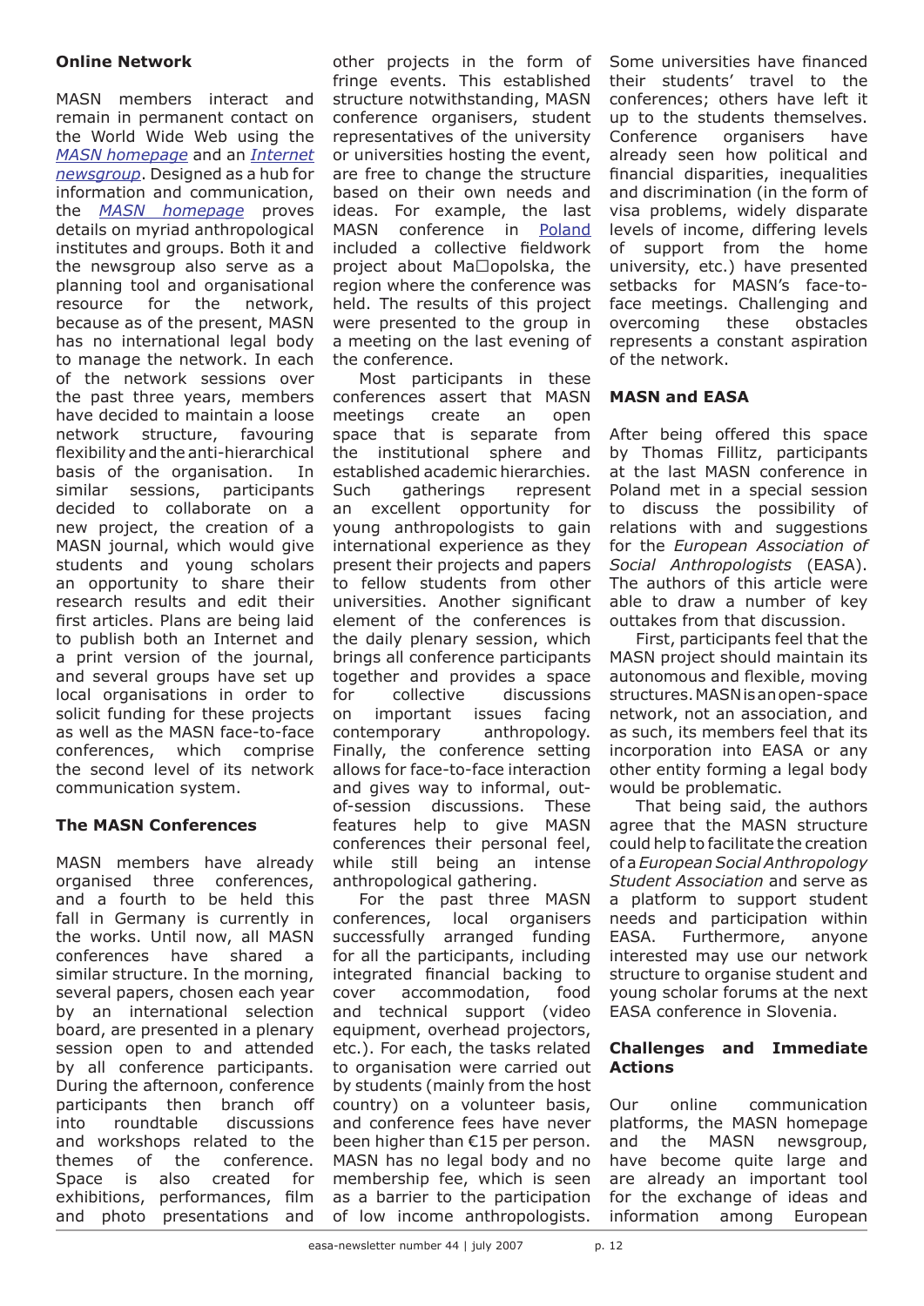## **Online Network**

MASN members interact and remain in permanent contact on the World Wide Web using the *MASN homepage* and an *Internet newsgroup*. Designed as a hub for information and communication, the *MASN homepage* proves details on myriad anthropological institutes and groups. Both it and the newsgroup also serve as a planning tool and organisational resource for the network, because as of the present, MASN has no international legal body to manage the network. In each of the network sessions over the past three years, members have decided to maintain a loose network structure, favouring flexibility and the anti-hierarchical basis of the organisation. In similar sessions, participants decided to collaborate on a new project, the creation of a MASN journal, which would give students and young scholars an opportunity to share their research results and edit their first articles. Plans are being laid to publish both an Internet and a print version of the journal, and several groups have set up local organisations in order to solicit funding for these projects as well as the MASN face-to-face conferences, which comprise the second level of its network communication system.

## **The MASN Conferences**

MASN members have already organised three conferences, and a fourth to be held this fall in Germany is currently in the works. Until now, all MASN conferences have shared a similar structure. In the morning, several papers, chosen each year by an international selection board, are presented in a plenary session open to and attended by all conference participants. During the afternoon, conference participants then branch off into roundtable discussions and workshops related to the themes of the conference. Space is also created for exhibitions, performances, film and photo presentations and

other projects in the form of fringe events. This established structure notwithstanding, MASN conference organisers, student representatives of the university or universities hosting the event, are free to change the structure based on their own needs and ideas. For example, the last MASN conference in Poland included a collective fieldwork project about  $Ma \Box$ opolska, the region where the conference was held. The results of this project were presented to the group in a meeting on the last evening of the conference.

Most participants in these conferences assert that MASN meetings create an open space that is separate from the institutional sphere and established academic hierarchies. Such gatherings represent an excellent opportunity for young anthropologists to gain international experience as they present their projects and papers to fellow students from other universities. Another significant element of the conferences is the daily plenary session, which brings all conference participants together and provides a space for collective discussions on important issues facing contemporary anthropology. Finally, the conference setting allows for face-to-face interaction and gives way to informal, outof-session discussions. These features help to give MASN conferences their personal feel, while still being an intense anthropological gathering.

For the past three MASN conferences, local organisers successfully arranged funding for all the participants, including integrated financial backing to cover accommodation, food and technical support (video equipment, overhead projectors, etc.). For each, the tasks related to organisation were carried out by students (mainly from the host country) on a volunteer basis, and conference fees have never been higher than €15 per person. MASN has no legal body and no membership fee, which is seen as a barrier to the participation of low income anthropologists.

Some universities have financed their students' travel to the conferences; others have left it up to the students themselves. Conference organisers have already seen how political and financial disparities, inequalities and discrimination (in the form of visa problems, widely disparate levels of income, differing levels of support from the home university, etc.) have presented setbacks for MASN's face-toface meetings. Challenging and overcoming these obstacles represents a constant aspiration of the network.

## **MASN and EASA**

After being offered this space by Thomas Fillitz, participants at the last MASN conference in Poland met in a special session to discuss the possibility of relations with and suggestions for the *European Association of Social Anthropologists* (EASA). The authors of this article were able to draw a number of key outtakes from that discussion.

First, participants feel that the MASN project should maintain its autonomous and flexible, moving structures. MASN is an open-space network, not an association, and as such, its members feel that its incorporation into EASA or any other entity forming a legal body would be problematic.

That being said, the authors agree that the MASN structure could help to facilitate the creation of a *European Social Anthropology Student Association* and serve as a platform to support student needs and participation within EASA. Furthermore, anyone interested may use our network structure to organise student and young scholar forums at the next EASA conference in Slovenia.

## **Challenges and Immediate Actions**

Our online communication platforms, the MASN homepage and the MASN newsgroup, have become quite large and are already an important tool for the exchange of ideas and information among European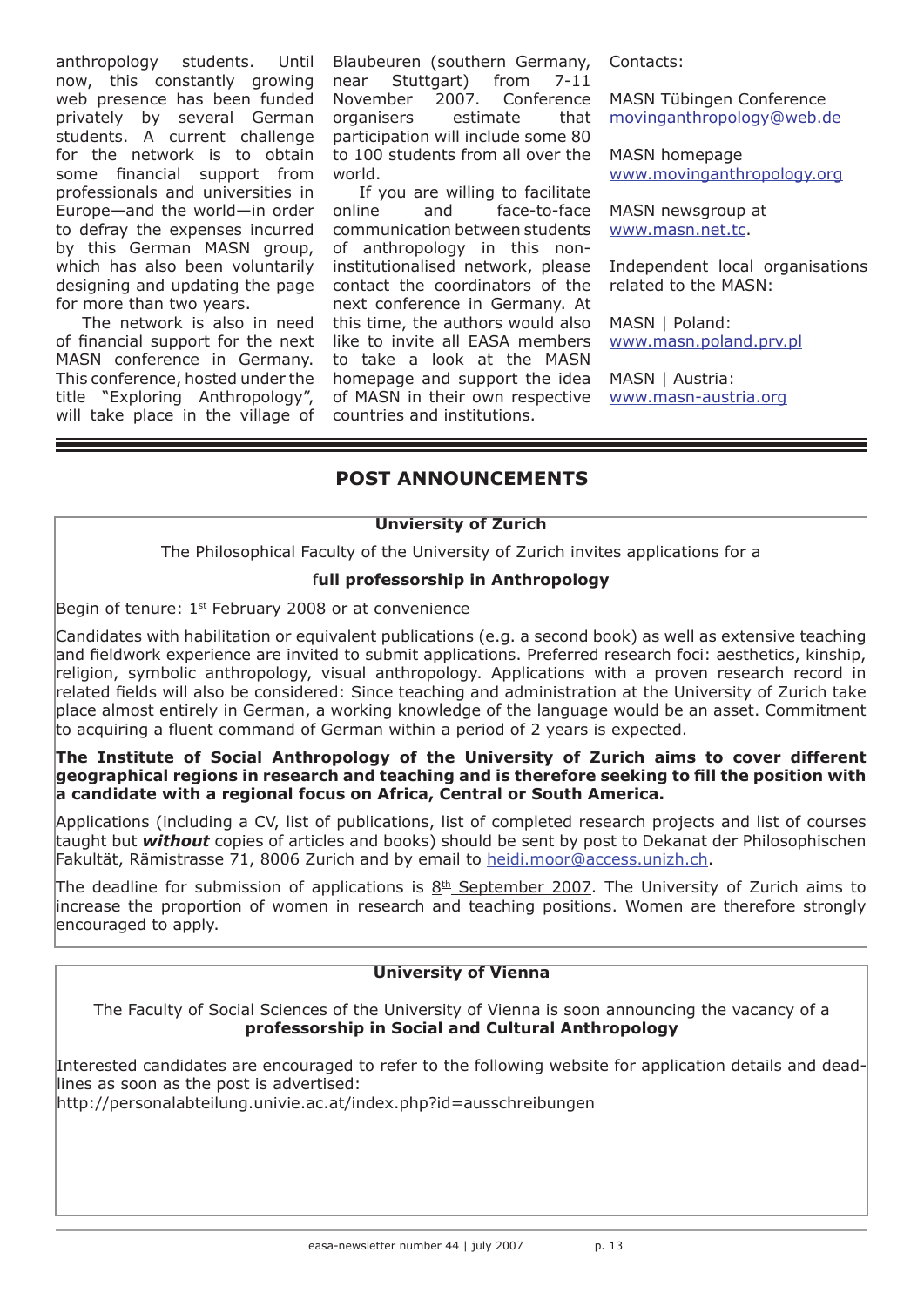anthropology students. now, this constantly growing web presence has been funded privately by several German students. A current challenge for the network is to obtain some financial support from professionals and universities in Europe—and the world—in order to defray the expenses incurred by this German MASN group, which has also been voluntarily designing and updating the page for more than two years.

The network is also in need of financial support for the next MASN conference in Germany. This conference, hosted under the title "Exploring Anthropology", will take place in the village of

Until Blaubeuren (southern Germany, near Stuttgart) from 7-11 November 2007. Conference organisers estimate that participation will include some 80 to 100 students from all over the world.

If you are willing to facilitate online and face-to-face communication between students of anthropology in this noninstitutionalised network, please contact the coordinators of the next conference in Germany. At this time, the authors would also like to invite all EASA members to take a look at the MASN homepage and support the idea of MASN in their own respective countries and institutions.

Contacts:

MASN Tübingen Conference movinganthropology@web.de

MASN homepage www.movinganthropology.org

MASN newsgroup at www.masn.net.tc.

Independent local organisations related to the MASN:

MASN | Poland: www.masn.poland.prv.pl

MASN | Austria: www.masn-austria.org

# **POST ANNOUNCEMENTS**

## **Unviersity of Zurich**

The Philosophical Faculty of the University of Zurich invites applications for a

## f**ull professorship in Anthropology**

Begin of tenure:  $1<sup>st</sup>$  February 2008 or at convenience

Candidates with habilitation or equivalent publications (e.g. a second book) as well as extensive teaching and fieldwork experience are invited to submit applications. Preferred research foci: aesthetics, kinship, religion, symbolic anthropology, visual anthropology. Applications with a proven research record in related fields will also be considered: Since teaching and administration at the University of Zurich take place almost entirely in German, a working knowledge of the language would be an asset. Commitment to acquiring a fluent command of German within a period of 2 years is expected.

## **The Institute of Social Anthropology of the University of Zurich aims to cover different geographical regions in research and teaching and is therefore seeking to fill the position with a candidate with a regional focus on Africa, Central or South America.**

Applications (including a CV, list of publications, list of completed research projects and list of courses taught but *without* copies of articles and books) should be sent by post to Dekanat der Philosophischen Fakultät, Rämistrasse 71, 8006 Zurich and by email to heidi.moor@access.unizh.ch.

The deadline for submission of applications is  $8<sup>th</sup>$  September 2007. The University of Zurich aims to increase the proportion of women in research and teaching positions. Women are therefore strongly encouraged to apply.

## **University of Vienna**

The Faculty of Social Sciences of the University of Vienna is soon announcing the vacancy of a **professorship in Social and Cultural Anthropology**

Interested candidates are encouraged to refer to the following website for application details and deadlines as soon as the post is advertised:

http://personalabteilung.univie.ac.at/index.php?id=ausschreibungen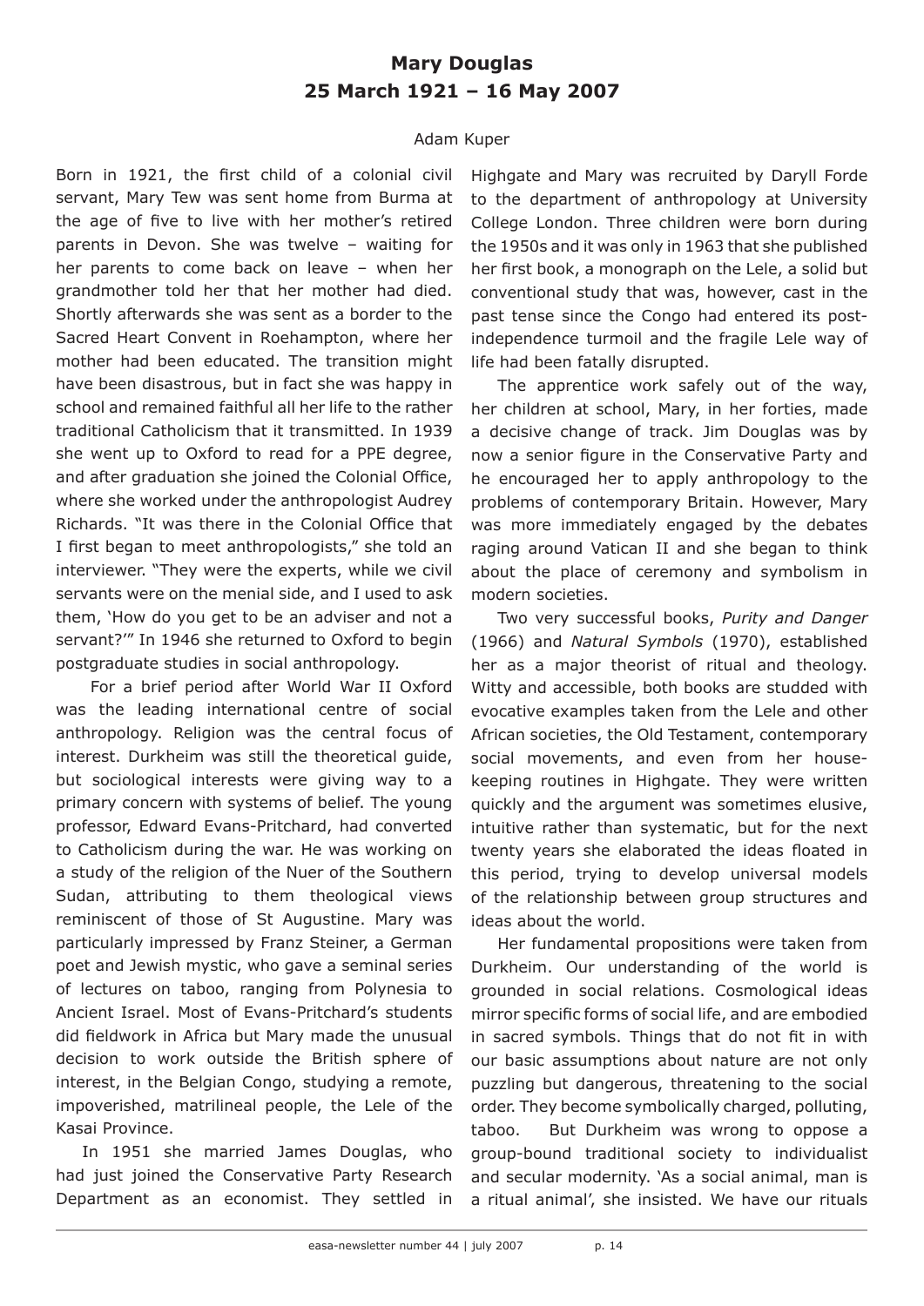# **Mary Douglas 25 March 1921 – 16 May 2007**

## Adam Kuper

Born in 1921, the first child of a colonial civil servant, Mary Tew was sent home from Burma at the age of five to live with her mother's retired parents in Devon. She was twelve – waiting for her parents to come back on leave – when her grandmother told her that her mother had died. Shortly afterwards she was sent as a border to the Sacred Heart Convent in Roehampton, where her mother had been educated. The transition might have been disastrous, but in fact she was happy in school and remained faithful all her life to the rather traditional Catholicism that it transmitted. In 1939 she went up to Oxford to read for a PPE degree, and after graduation she joined the Colonial Office, where she worked under the anthropologist Audrey Richards. "It was there in the Colonial Office that I first began to meet anthropologists," she told an interviewer. "They were the experts, while we civil servants were on the menial side, and I used to ask them, 'How do you get to be an adviser and not a servant?'" In 1946 she returned to Oxford to begin postgraduate studies in social anthropology.

 For a brief period after World War II Oxford was the leading international centre of social anthropology. Religion was the central focus of interest. Durkheim was still the theoretical guide, but sociological interests were giving way to a primary concern with systems of belief. The young professor, Edward Evans-Pritchard, had converted to Catholicism during the war. He was working on a study of the religion of the Nuer of the Southern Sudan, attributing to them theological views reminiscent of those of St Augustine. Mary was particularly impressed by Franz Steiner, a German poet and Jewish mystic, who gave a seminal series of lectures on taboo, ranging from Polynesia to Ancient Israel. Most of Evans-Pritchard's students did fieldwork in Africa but Mary made the unusual decision to work outside the British sphere of interest, in the Belgian Congo, studying a remote, impoverished, matrilineal people, the Lele of the Kasai Province.

In 1951 she married James Douglas, who had just joined the Conservative Party Research Department as an economist. They settled in Highgate and Mary was recruited by Daryll Forde to the department of anthropology at University College London. Three children were born during the 1950s and it was only in 1963 that she published her first book, a monograph on the Lele, a solid but conventional study that was, however, cast in the past tense since the Congo had entered its postindependence turmoil and the fragile Lele way of life had been fatally disrupted.

The apprentice work safely out of the way, her children at school, Mary, in her forties, made a decisive change of track. Jim Douglas was by now a senior figure in the Conservative Party and he encouraged her to apply anthropology to the problems of contemporary Britain. However, Mary was more immediately engaged by the debates raging around Vatican II and she began to think about the place of ceremony and symbolism in modern societies.

Two very successful books, *Purity and Danger* (1966) and *Natural Symbols* (1970), established her as a major theorist of ritual and theology. Witty and accessible, both books are studded with evocative examples taken from the Lele and other African societies, the Old Testament, contemporary social movements, and even from her housekeeping routines in Highgate. They were written quickly and the argument was sometimes elusive, intuitive rather than systematic, but for the next twenty years she elaborated the ideas floated in this period, trying to develop universal models of the relationship between group structures and ideas about the world.

Her fundamental propositions were taken from Durkheim. Our understanding of the world is grounded in social relations. Cosmological ideas mirror specific forms of social life, and are embodied in sacred symbols. Things that do not fit in with our basic assumptions about nature are not only puzzling but dangerous, threatening to the social order. They become symbolically charged, polluting, taboo. But Durkheim was wrong to oppose a group-bound traditional society to individualist and secular modernity. 'As a social animal, man is a ritual animal', she insisted. We have our rituals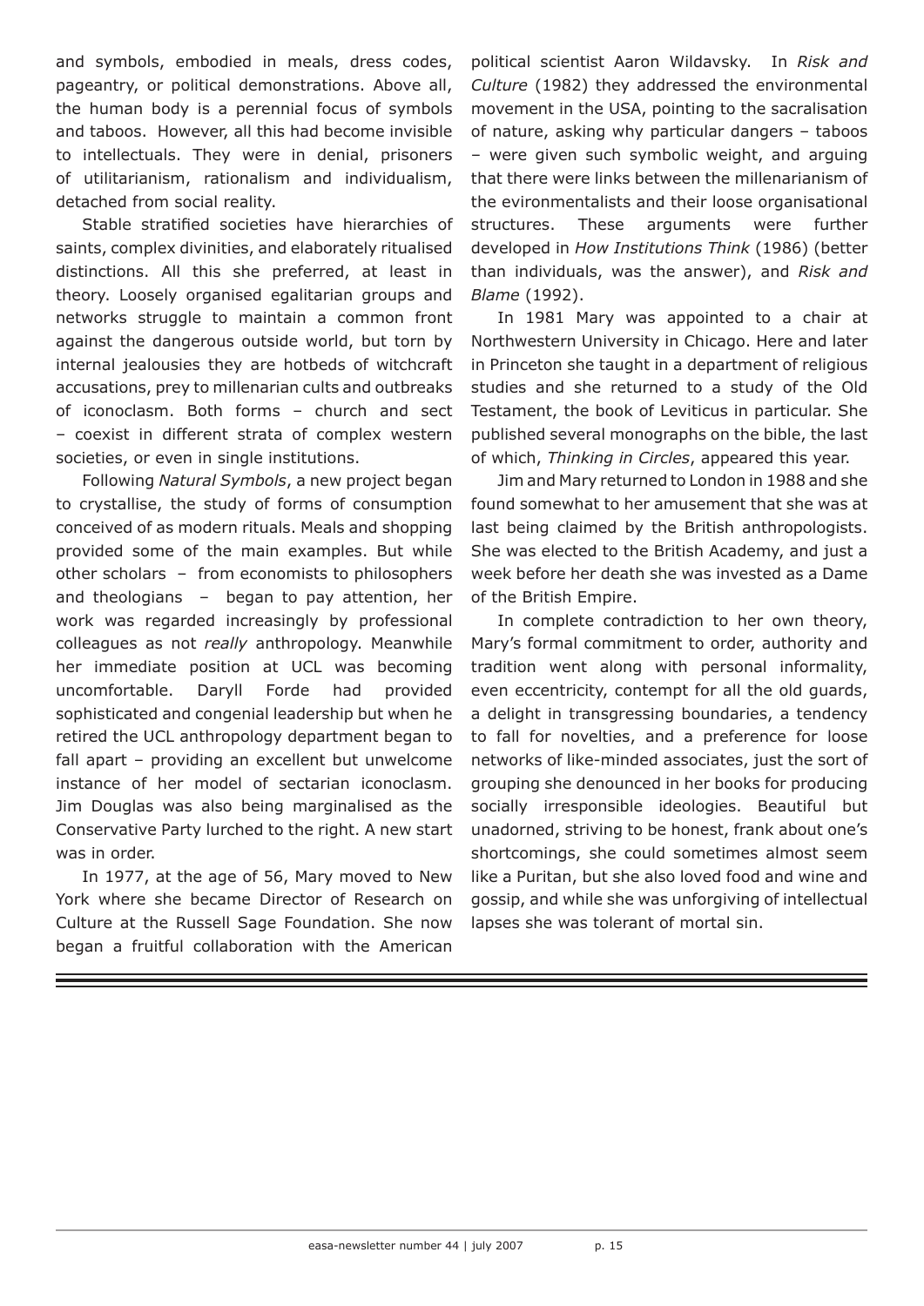and symbols, embodied in meals, dress codes, pageantry, or political demonstrations. Above all, the human body is a perennial focus of symbols and taboos. However, all this had become invisible to intellectuals. They were in denial, prisoners of utilitarianism, rationalism and individualism, detached from social reality.

Stable stratified societies have hierarchies of saints, complex divinities, and elaborately ritualised distinctions. All this she preferred, at least in theory. Loosely organised egalitarian groups and networks struggle to maintain a common front against the dangerous outside world, but torn by internal jealousies they are hotbeds of witchcraft accusations, prey to millenarian cults and outbreaks of iconoclasm. Both forms – church and sect – coexist in different strata of complex western societies, or even in single institutions.

Following *Natural Symbols*, a new project began to crystallise, the study of forms of consumption conceived of as modern rituals. Meals and shopping provided some of the main examples. But while other scholars – from economists to philosophers and theologians – began to pay attention, her work was regarded increasingly by professional colleagues as not *really* anthropology. Meanwhile her immediate position at UCL was becoming uncomfortable. Daryll Forde had provided sophisticated and congenial leadership but when he retired the UCL anthropology department began to fall apart – providing an excellent but unwelcome instance of her model of sectarian iconoclasm. Jim Douglas was also being marginalised as the Conservative Party lurched to the right. A new start was in order.

In 1977, at the age of 56, Mary moved to New York where she became Director of Research on Culture at the Russell Sage Foundation. She now began a fruitful collaboration with the American

political scientist Aaron Wildavsky. In *Risk and Culture* (1982) they addressed the environmental movement in the USA, pointing to the sacralisation of nature, asking why particular dangers – taboos – were given such symbolic weight, and arguing that there were links between the millenarianism of the evironmentalists and their loose organisational structures. These arguments were further developed in *How Institutions Think* (1986) (better than individuals, was the answer), and *Risk and Blame* (1992).

In 1981 Mary was appointed to a chair at Northwestern University in Chicago. Here and later in Princeton she taught in a department of religious studies and she returned to a study of the Old Testament, the book of Leviticus in particular. She published several monographs on the bible, the last of which, *Thinking in Circles*, appeared this year.

Jim and Mary returned to London in 1988 and she found somewhat to her amusement that she was at last being claimed by the British anthropologists. She was elected to the British Academy, and just a week before her death she was invested as a Dame of the British Empire.

In complete contradiction to her own theory, Mary's formal commitment to order, authority and tradition went along with personal informality, even eccentricity, contempt for all the old guards, a delight in transgressing boundaries, a tendency to fall for novelties, and a preference for loose networks of like-minded associates, just the sort of grouping she denounced in her books for producing socially irresponsible ideologies. Beautiful but unadorned, striving to be honest, frank about one's shortcomings, she could sometimes almost seem like a Puritan, but she also loved food and wine and gossip, and while she was unforgiving of intellectual lapses she was tolerant of mortal sin.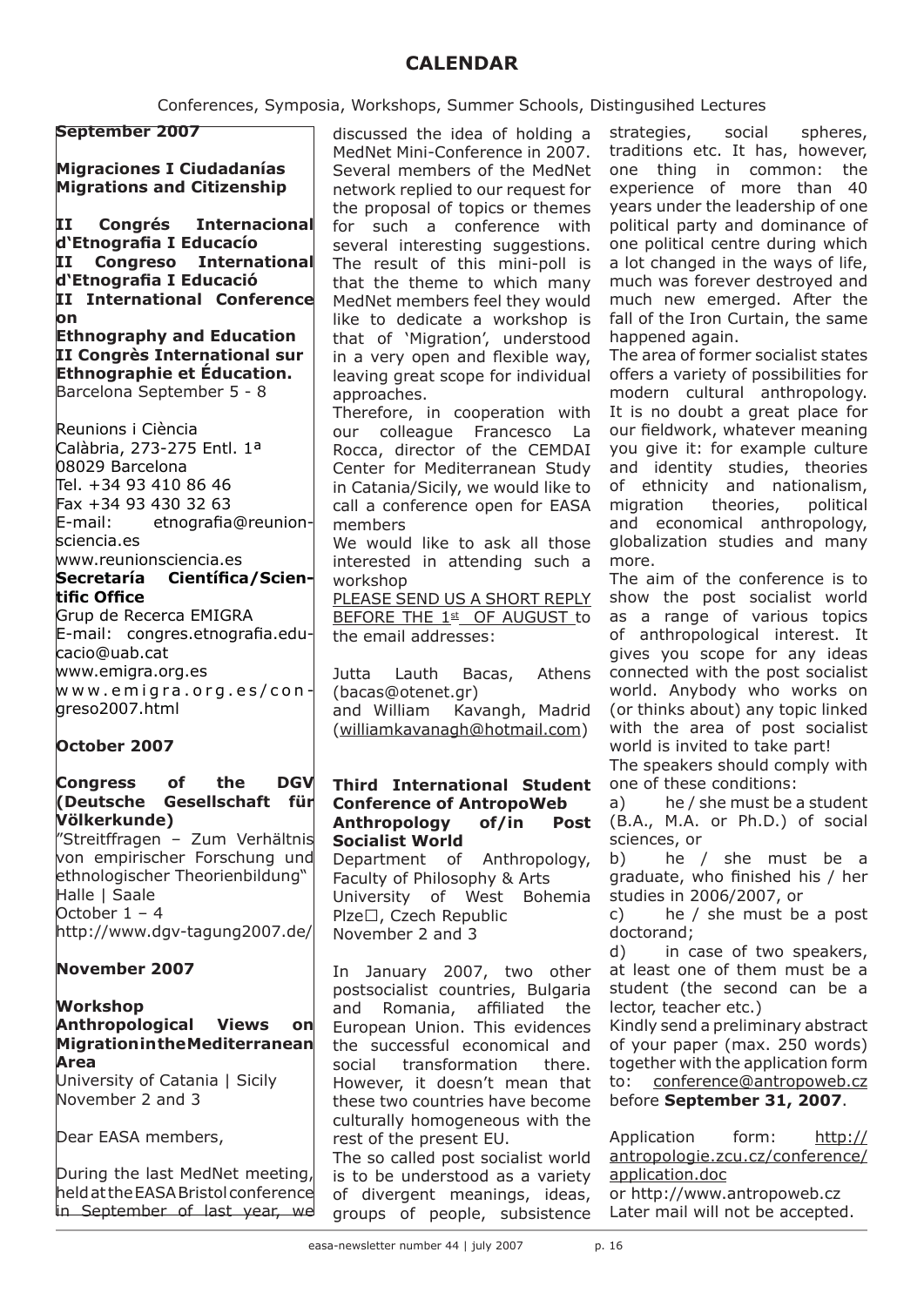# **CALENDAR**

nops, Summer Schools, Distingusihed Lectures

| Conferences, Symposia, Workshops, Summer Schools, D                                                                                                 |                                                                                                                                                                                    |  |
|-----------------------------------------------------------------------------------------------------------------------------------------------------|------------------------------------------------------------------------------------------------------------------------------------------------------------------------------------|--|
| <b>September 2007</b>                                                                                                                               | discussed the idea of holding a<br>MedNet Mini-Conference in 2007.                                                                                                                 |  |
| <b>Migraciones I Ciudadanías</b><br><b>Migrations and Citizenship</b>                                                                               | Several members of the MedNet<br>network replied to our request for<br>the proposal of topics or themes                                                                            |  |
| Congrés Internacional<br>$\mathbf{H}$<br>d'Etnografia I Educacío<br>II<br>Congreso International                                                    | for such a conference with<br>several interesting suggestions.                                                                                                                     |  |
| d'Etnografia I Educació<br>II International Conference                                                                                              | The result of this mini-poll is<br>that the theme to which many<br>MedNet members feel they would                                                                                  |  |
| on<br><b>Ethnography and Education</b><br>II Congrès International sur                                                                              | like to dedicate a workshop is<br>that of 'Migration', understood<br>in a very open and flexible way,                                                                              |  |
| Ethnographie et Éducation.<br>Barcelona September 5 - 8                                                                                             | leaving great scope for individual<br>approaches.<br>Therefore, in cooperation with                                                                                                |  |
| Reunions i Ciència<br>Calàbria, 273-275 Entl. 1ª<br>08029 Barcelona<br>Tel. +34 93 410 86 46<br>Fax +34 93 430 32 63<br>E-mail: etnografia@reunion- | our colleague Francesco La<br>Rocca, director of the CEMDAI<br>Center for Mediterranean Study<br>in Catania/Sicily, we would like to<br>call a conference open for EASA<br>members |  |
|                                                                                                                                                     |                                                                                                                                                                                    |  |

We would like to ask all those interested in attending such a workshop

PLEASE SEND US A SHORT REPLY BEFORE THE 1st OF AUGUST to the email addresses:

Jutta Lauth Bacas, Athens (bacas@otenet.gr)

and William Kavangh, Madrid (williamkavanagh@hotmail.com)

### **Third International Student Conference of AntropoWeb Anthropology of/in Post Socialist World** Department of Anthropology, Faculty of Philosophy & Arts University of West Bohemia Plze□, Czech Republic November 2 and 3

In January 2007, two other postsocialist countries, Bulgaria and Romania, affiliated the European Union. This evidences the successful economical and social transformation there. However, it doesn't mean that these two countries have become culturally homogeneous with the rest of the present EU.

The so called post socialist world is to be understood as a variety of divergent meanings, ideas, groups of people, subsistence strategies, social spheres, traditions etc. It has, however, one thing in common: the experience of more than 40 years under the leadership of one political party and dominance of one political centre during which a lot changed in the ways of life, much was forever destroyed and much new emerged. After the fall of the Iron Curtain, the same happened again.

The area of former socialist states offers a variety of possibilities for modern cultural anthropology. It is no doubt a great place for our fieldwork, whatever meaning you give it: for example culture and identity studies, theories of ethnicity and nationalism, migration theories, political and economical anthropology, globalization studies and many more.

The aim of the conference is to show the post socialist world as a range of various topics of anthropological interest. It gives you scope for any ideas connected with the post socialist world. Anybody who works on (or thinks about) any topic linked with the area of post socialist world is invited to take part!

The speakers should comply with one of these conditions:

a) he / she must be a student (B.A., M.A. or Ph.D.) of social sciences, or

b) he / she must be a graduate, who finished his / her studies in 2006/2007, or

c) he / she must be a post doctorand;

d) in case of two speakers, at least one of them must be a student (the second can be a lector, teacher etc.)

Kindly send a preliminary abstract of your paper (max. 250 words) together with the application form to: conference@antropoweb.cz before **September 31, 2007**.

Application form: http:// antropologie.zcu.cz/conference/ application.doc

or http://www.antropoweb.cz Later mail will not be accepted.

sciencia.es www.reunionsciencia.es

## **Secretaría Científica/Scientific Office**

Grup de Recerca EMIGRA E-mail: congres.etnografia.educacio@uab.cat www.emigra.org.es  $w w w . e m i q r a . o r q . e s / co n$ greso2007.html

# **October 2007**

## **Congress of the DGV (Deutsche Gesellschaft für Völkerkunde)**

"Streitffragen – Zum Verhältnis von empirischer Forschung und ethnologischer Theorienbildung" Halle | Saale October 1 – 4 http://www.dgv-tagung2007.de/

# **November 2007**

## **Workshop Anthropological Views on Migration in the Mediterranean Area**

University of Catania | Sicily November 2 and 3

Dear EASA members,

During the last MedNet meeting, held at the EASA Bristol conference in September of last year, we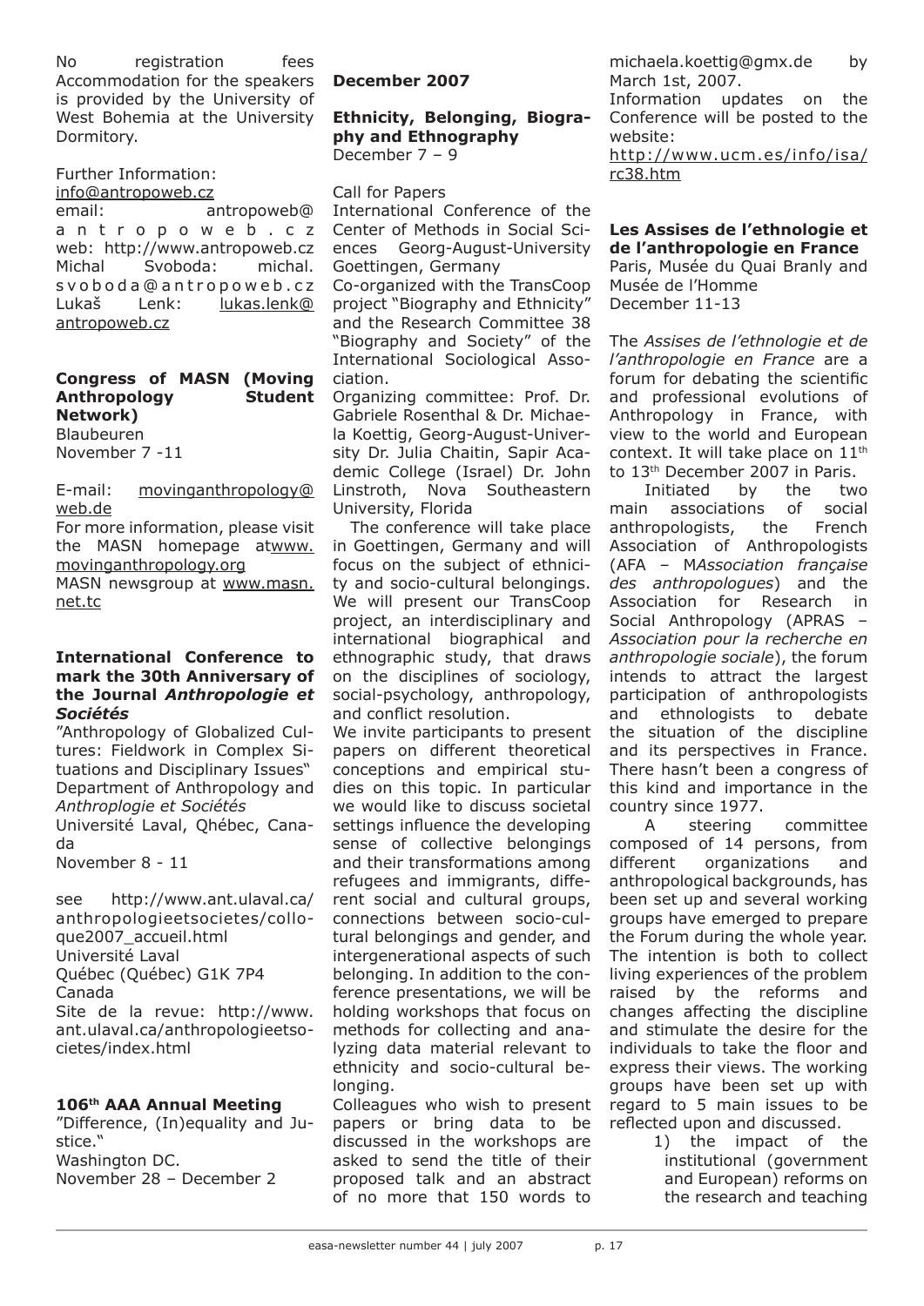No registration fees Accommodation for the speakers is provided by the University of West Bohemia at the University Dormitory.

# Further Information:

### info@antropoweb.cz

email: antropoweb@ a n t r o p o w e b . c z web: http://www.antropoweb.cz Michal Svoboda: michal. s v o b o d a @ a n t r o p o w e b . c z Lukaš Lenk: lukas.lenk@ antropoweb.cz

## **Congress of MASN (Moving Anthropology Student Network)**

Blaubeuren November 7 -11

E-mail: movinganthropology@ web.de

For more information, please visit the MASN homepage atwww. movinganthropology.org

MASN newsgroup at www.masn. net.tc

## **International Conference to mark the 30th Anniversary of the Journal** *Anthropologie et Sociétés*

"Anthropology of Globalized Cultures: Fieldwork in Complex Situations and Disciplinary Issues" Department of Anthropology and *Anthroplogie et Sociétés*

Université Laval, Qhébec, Canada

November 8 - 11

see http://www.ant.ulaval.ca/ anthropologieetsocietes/colloque2007\_accueil.html Université Laval Québec (Québec) G1K 7P4 Canada Site de la revue: http://www. ant.ulaval.ca/anthropologieetsocietes/index.html

## **106th AAA Annual Meeting**

"Difference, (In)equality and Justice." Washington DC. November 28 – December 2

**December 2007**

#### **Ethnicity, Belonging, Biography and Ethnography**  December 7 – 9

Call for Papers

International Conference of the Center of Methods in Social Sciences Georg-August-University Goettingen, Germany

Co-organized with the TransCoop project "Biography and Ethnicity" and the Research Committee 38 "Biography and Society" of the International Sociological Association.

Organizing committee: Prof. Dr. Gabriele Rosenthal & Dr. Michaela Koettig, Georg-August-University Dr. Julia Chaitin, Sapir Academic College (Israel) Dr. John Linstroth, Nova Southeastern University, Florida

The conference will take place in Goettingen, Germany and will focus on the subject of ethnicity and socio-cultural belongings. We will present our TransCoop project, an interdisciplinary and international biographical and ethnographic study, that draws on the disciplines of sociology, social-psychology, anthropology, and conflict resolution.

We invite participants to present papers on different theoretical conceptions and empirical studies on this topic. In particular we would like to discuss societal settings influence the developing sense of collective belongings and their transformations among refugees and immigrants, different social and cultural groups, connections between socio-cultural belongings and gender, and intergenerational aspects of such belonging. In addition to the conference presentations, we will be holding workshops that focus on methods for collecting and analyzing data material relevant to ethnicity and socio-cultural belonging.

Colleagues who wish to present papers or bring data to be discussed in the workshops are asked to send the title of their proposed talk and an abstract of no more that 150 words to

michaela.koettig@gmx.de by March 1st, 2007.

Information updates on the Conference will be posted to the website:

http://www.ucm.es/info/isa/ rc38.htm

## **Les Assises de l'ethnologie et de l'anthropologie en France**

Paris, Musée du Quai Branly and Musée de l'Homme December 11-13

The *Assises de l'ethnologie et de l'anthropologie en France* are a forum for debating the scientific and professional evolutions of Anthropology in France, with view to the world and European context. It will take place on  $11<sup>th</sup>$ to 13th December 2007 in Paris.

Initiated by the two main associations of social anthropologists, the French Association of Anthropologists (AFA – M*Association française des anthropologues*) and the Association for Research in Social Anthropology (APRAS – *Association pour la recherche en anthropologie sociale*), the forum intends to attract the largest participation of anthropologists and ethnologists to debate the situation of the discipline and its perspectives in France. There hasn't been a congress of this kind and importance in the country since 1977.

A steering committee composed of 14 persons, from different organizations and anthropological backgrounds, has been set up and several working groups have emerged to prepare the Forum during the whole year. The intention is both to collect living experiences of the problem raised by the reforms and changes affecting the discipline and stimulate the desire for the individuals to take the floor and express their views. The working groups have been set up with regard to 5 main issues to be reflected upon and discussed.

> 1) the impact of the institutional (government and European) reforms on the research and teaching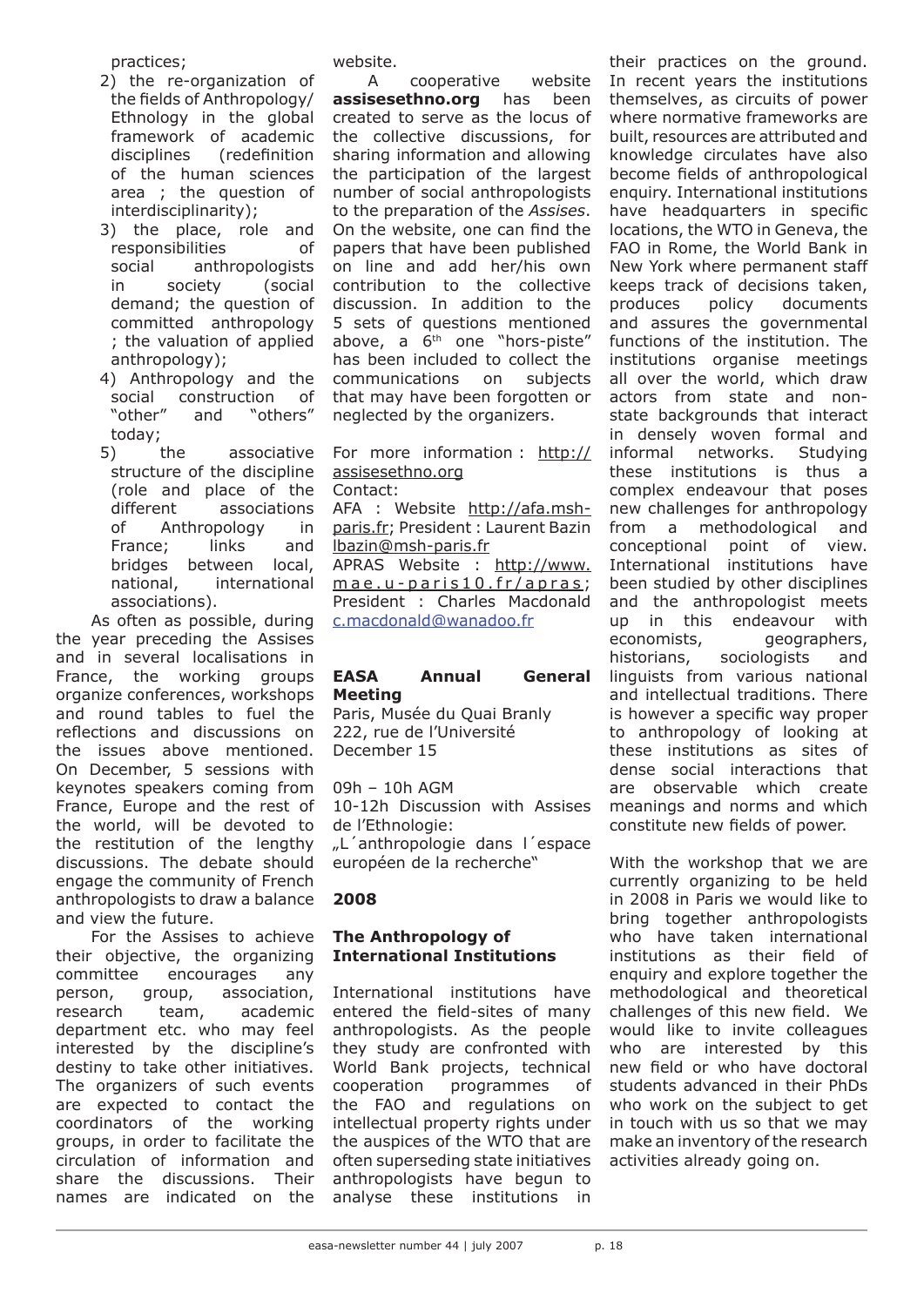practices;

- 2) the re-organization of the fields of Anthropology/ Ethnology in the global framework of academic disciplines (redefinition of the human sciences area ; the question of interdisciplinarity);
- 3) the place, role and responsibilities of social anthropologists in society (social demand; the question of committed anthropology ; the valuation of applied anthropology);
- 4) Anthropology and the social construction of<br>"other" and "others" and "others" today;
- 5) the associative structure of the discipline (role and place of the different associations of Anthropology in France; links and bridges between local, national, international associations).

As often as possible, during the year preceding the Assises and in several localisations in France, the working groups organize conferences, workshops and round tables to fuel the reflections and discussions on the issues above mentioned. On December, 5 sessions with keynotes speakers coming from France, Europe and the rest of the world, will be devoted to the restitution of the lengthy discussions. The debate should engage the community of French anthropologists to draw a balance and view the future.

For the Assises to achieve their objective, the organizing committee encourages any person, group, association, research team, academic department etc. who may feel interested by the discipline's destiny to take other initiatives. The organizers of such events are expected to contact the coordinators of the working groups, in order to facilitate the circulation of information and share the discussions. Their names are indicated on the

website.

A cooperative website **assisesethno.org** has been created to serve as the locus of the collective discussions, for sharing information and allowing the participation of the largest number of social anthropologists to the preparation of the *Assises*. On the website, one can find the papers that have been published on line and add her/his own contribution to the collective discussion. In addition to the 5 sets of questions mentioned above, a 6<sup>th</sup> one "hors-piste" has been included to collect the communications on subjects that may have been forgotten or neglected by the organizers.

For more information : http:// assisesethno.org

Contact:

AFA : Website http://afa.mshparis.fr; President : Laurent Bazin lbazin@msh-paris.fr APRAS Website : http://www.  $mae.u-paris10.fr/apras;$ President : Charles Macdonald c.macdonald@wanadoo.fr

## **EASA Annual General Meeting**

Paris, Musée du Quai Branly 222, rue de l'Université December 15

09h – 10h AGM 10-12h Discussion with Assises de l'Ethnologie: "L'anthropologie dans l'espace européen de la recherche"

## **2008**

## **The Anthropology of International Institutions**

International institutions have entered the field-sites of many anthropologists. As the people they study are confronted with World Bank projects, technical cooperation programmes of the FAO and regulations on intellectual property rights under the auspices of the WTO that are often superseding state initiatives anthropologists have begun to analyse these institutions in

their practices on the ground. In recent years the institutions themselves, as circuits of power where normative frameworks are built, resources are attributed and knowledge circulates have also become fields of anthropological enquiry. International institutions have headquarters in specific locations, the WTO in Geneva, the FAO in Rome, the World Bank in New York where permanent staff keeps track of decisions taken, produces policy documents and assures the governmental functions of the institution. The institutions organise meetings all over the world, which draw actors from state and nonstate backgrounds that interact in densely woven formal and informal networks. Studying these institutions is thus a complex endeavour that poses new challenges for anthropology from a methodological and conceptional point of view. International institutions have been studied by other disciplines and the anthropologist meets up in this endeavour with economists, geographers, historians, sociologists and linguists from various national and intellectual traditions. There is however a specific way proper to anthropology of looking at these institutions as sites of dense social interactions that are observable which create meanings and norms and which constitute new fields of power.

With the workshop that we are currently organizing to be held in 2008 in Paris we would like to bring together anthropologists who have taken international institutions as their field of enquiry and explore together the methodological and theoretical challenges of this new field. We would like to invite colleagues who are interested by this new field or who have doctoral students advanced in their PhDs who work on the subject to get in touch with us so that we may make an inventory of the research activities already going on.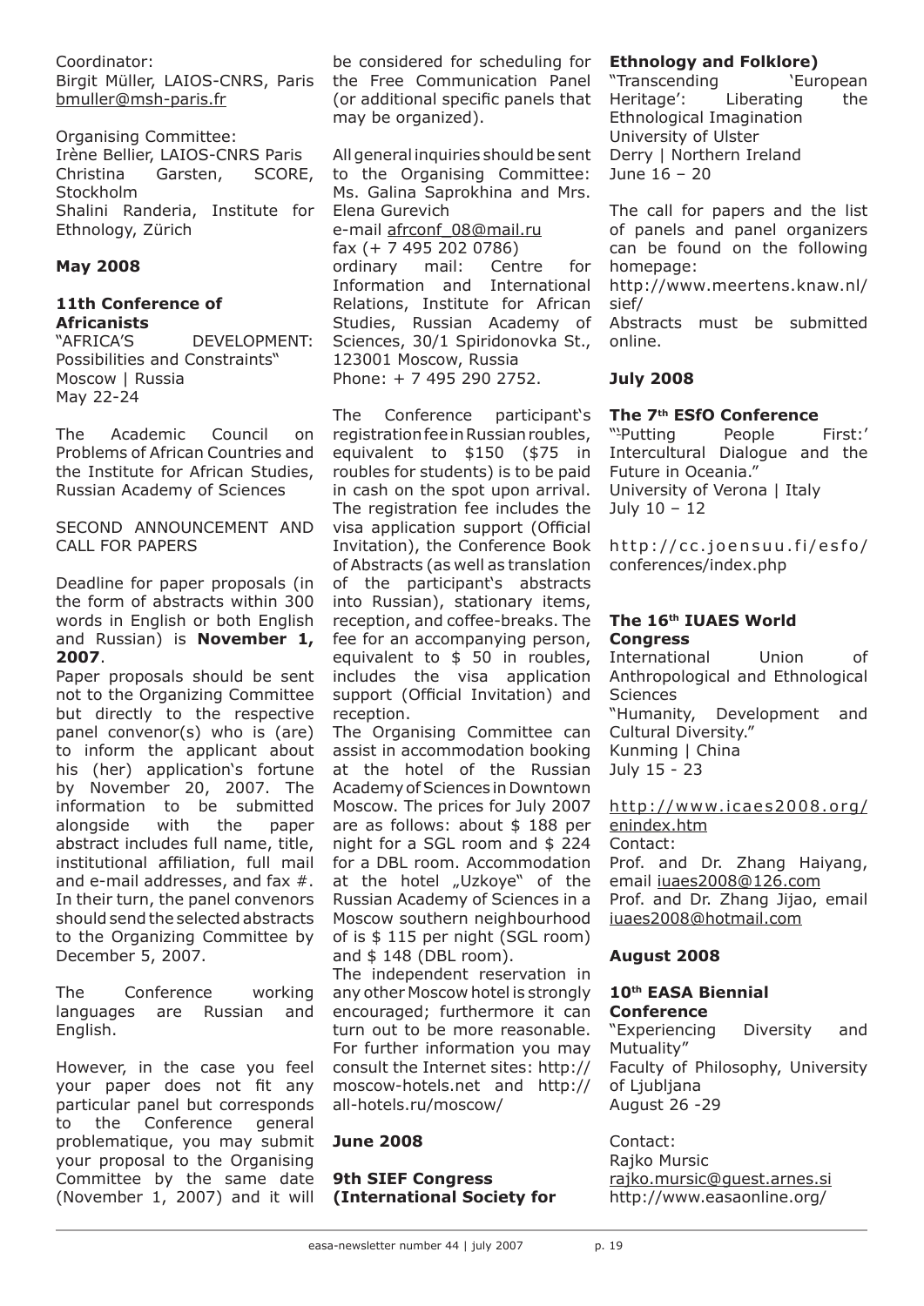### Coordinator:

Birgit Müller, LAIOS-CNRS, Paris bmuller@msh-paris.fr

Organising Committee: Irène Bellier, LAIOS-CNRS Paris Christina Garsten, SCORE, Stockholm Shalini Randeria, Institute for Ethnology, Zürich

## **May 2008**

## **11th Conference of Africanists**

"AFRICA'S DEVELOPMENT: Possibilities and Constraints" Moscow | Russia May 22-24

The Academic Council on Problems of African Countries and the Institute for African Studies, Russian Academy of Sciences

SECOND ANNOUNCEMENT AND CALL FOR PAPERS

Deadline for paper proposals (in the form of abstracts within 300 words in English or both English and Russian) is **November 1, 2007**.

Paper proposals should be sent not to the Organizing Committee but directly to the respective panel convenor(s) who is (are) to inform the applicant about his (her) application's fortune by November 20, 2007. The information to be submitted alongside with the paper abstract includes full name, title, institutional affiliation, full mail and e-mail addresses, and fax #. In their turn, the panel convenors should send the selected abstracts to the Organizing Committee by December 5, 2007.

The Conference working languages are Russian and English.

However, in the case you feel your paper does not fit any particular panel but corresponds to the Conference general problematique, you may submit your proposal to the Organising Committee by the same date (November 1, 2007) and it will

be considered for scheduling for the Free Communication Panel (or additional specific panels that may be organized).

All general inquiries should be sent to the Organising Committee: Ms. Galina Saprokhina and Mrs. Elena Gurevich e-mail afrconf\_08@mail.ru fax (+ 7 495 202 0786) ordinary mail: Centre for Information and International Relations, Institute for African Studies, Russian Academy of Sciences, 30/1 Spiridonovka St., 123001 Moscow, Russia Phone: + 7 495 290 2752.

The Conference participant's registration fee in Russian roubles, equivalent to \$150 (\$75 in roubles for students) is to be paid in cash on the spot upon arrival. The registration fee includes the visa application support (Official Invitation), the Conference Book of Abstracts (as well as translation of the participant's abstracts into Russian), stationary items, reception, and coffee-breaks. The fee for an accompanying person, equivalent to \$ 50 in roubles, includes the visa application support (Official Invitation) and reception.

The Organising Committee can assist in accommodation booking at the hotel of the Russian Academy of Sciences in Downtown Moscow. The prices for July 2007 are as follows: about \$ 188 per night for a SGL room and \$ 224 for a DBL room. Accommodation at the hotel "Uzkoye" of the Russian Academy of Sciences in a Moscow southern neighbourhood of is \$ 115 per night (SGL room) and \$ 148 (DBL room).

The independent reservation in any other Moscow hotel is strongly encouraged; furthermore it can turn out to be more reasonable. For further information you may consult the Internet sites: http:// moscow-hotels.net and http:// all-hotels.ru/moscow/

## **June 2008**

### **9th SIEF Congress (International Society for**

## **Ethnology and Folklore)**

"Transcending 'European Heritage': Liberating the Ethnological Imagination University of Ulster Derry | Northern Ireland June 16 – 20

The call for papers and the list of panels and panel organizers can be found on the following homepage:

http://www.meertens.knaw.nl/ sief/

Abstracts must be submitted online.

## **July 2008**

### **The 7th ESfO Conference**

"'Putting People First:' Intercultural Dialogue and the Future in Oceania." University of Verona | Italy July 10 – 12

http://cc.joensuu.fi/esfo/ conferences/index.php

### **The 16th IUAES World Congress**

International Union of Anthropological and Ethnological **Sciences** "Humanity, Development and Cultural Diversity." Kunming | China July 15 - 23

http://www.icaes2008.org/ enindex.htm Contact:

Prof. and Dr. Zhang Haiyang, email iuaes2008@126.com Prof. and Dr. Zhang Jijao, email iuaes2008@hotmail.com

## **August 2008**

#### **10th EASA Biennial Conference**

"Experiencing Diversity and Mutuality" Faculty of Philosophy, University of Ljubljana August 26 -29

Contact: Rajko Mursic rajko.mursic@guest.arnes.si http://www.easaonline.org/